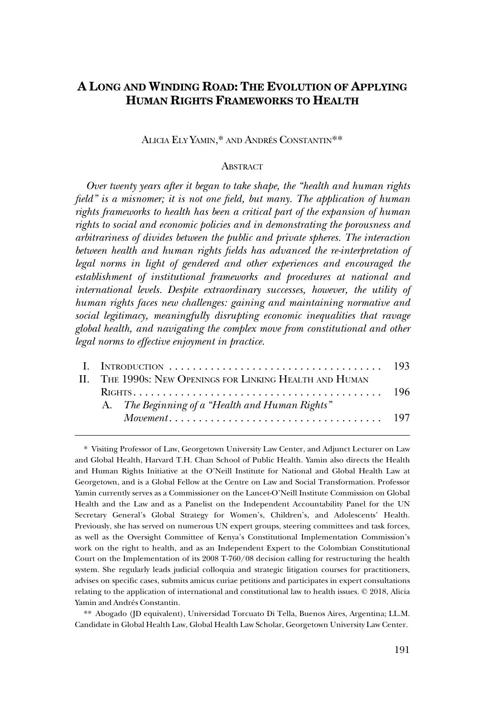# **A LONG AND WINDING ROAD: THE EVOLUTION OF APPLYING HUMAN RIGHTS FRAMEWORKS TO HEALTH**

# ALICIA ELY YAMIN,\* AND ANDRÉS CONSTANTIN\*\*

## **ABSTRACT**

*Over twenty years after it began to take shape, the "health and human rights field" is a misnomer; it is not one field, but many. The application of human rights frameworks to health has been a critical part of the expansion of human rights to social and economic policies and in demonstrating the porousness and arbitrariness of divides between the public and private spheres. The interaction between health and human rights fields has advanced the re-interpretation of*  legal norms in light of gendered and other experiences and encouraged the *establishment of institutional frameworks and procedures at national and international levels. Despite extraordinary successes, however, the utility of human rights faces new challenges: gaining and maintaining normative and social legitimacy, meaningfully disrupting economic inequalities that ravage global health, and navigating the complex move from constitutional and other legal norms to effective enjoyment in practice.* 

|  | II. THE 1990s: NEW OPENINGS FOR LINKING HEALTH AND HUMAN |  |
|--|----------------------------------------------------------|--|
|  |                                                          |  |
|  | A. The Beginning of a "Health and Human Rights"          |  |
|  |                                                          |  |

\* Visiting Professor of Law, Georgetown University Law Center, and Adjunct Lecturer on Law and Global Health, Harvard T.H. Chan School of Public Health. Yamin also directs the Health and Human Rights Initiative at the O'Neill Institute for National and Global Health Law at Georgetown, and is a Global Fellow at the Centre on Law and Social Transformation. Professor Yamin currently serves as a Commissioner on the Lancet-O'Neill Institute Commission on Global Health and the Law and as a Panelist on the Independent Accountability Panel for the UN Secretary General's Global Strategy for Women's, Children's, and Adolescents' Health. Previously, she has served on numerous UN expert groups, steering committees and task forces, as well as the Oversight Committee of Kenya's Constitutional Implementation Commission's work on the right to health, and as an Independent Expert to the Colombian Constitutional Court on the Implementation of its 2008 T-760/08 decision calling for restructuring the health system. She regularly leads judicial colloquia and strategic litigation courses for practitioners, advises on specific cases, submits amicus curiae petitions and participates in expert consultations relating to the application of international and constitutional law to health issues. © 2018, Alicia Yamin and Andrés Constantin.

\*\* Abogado (JD equivalent), Universidad Torcuato Di Tella, Buenos Aires, Argentina; LL.M. Candidate in Global Health Law, Global Health Law Scholar, Georgetown University Law Center.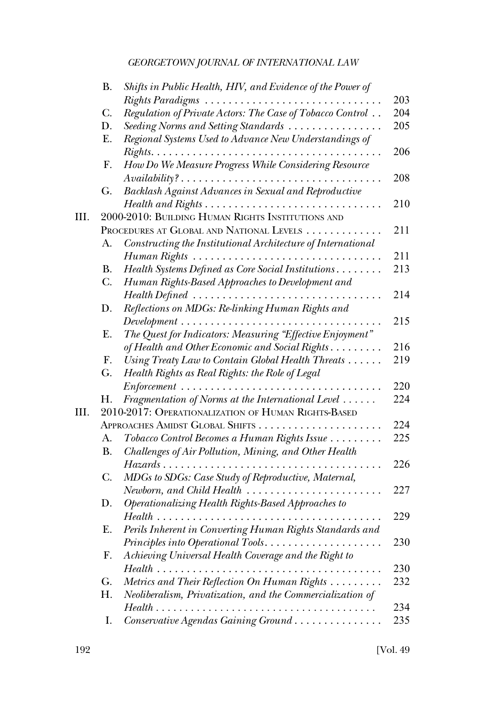|      | <b>B.</b>   | Shifts in Public Health, HIV, and Evidence of the Power of                                |     |
|------|-------------|-------------------------------------------------------------------------------------------|-----|
|      |             | Rights Paradigms                                                                          | 203 |
|      | C.          | Regulation of Private Actors: The Case of Tobacco Control                                 | 204 |
|      | D.          | Seeding Norms and Setting Standards                                                       | 205 |
|      | Ε.          | Regional Systems Used to Advance New Understandings of                                    |     |
|      |             |                                                                                           | 206 |
|      | F.          | How Do We Measure Progress While Considering Resource                                     |     |
|      |             | $\it Availability? \ldots \ldots \ldots \ldots \ldots \ldots \ldots \ldots \ldots \ldots$ | 208 |
|      | G.          | Backlash Against Advances in Sexual and Reproductive                                      |     |
|      |             |                                                                                           | 210 |
| III. |             | 2000-2010: BUILDING HUMAN RIGHTS INSTITUTIONS AND                                         |     |
|      |             | PROCEDURES AT GLOBAL AND NATIONAL LEVELS                                                  | 211 |
|      | А.          | Constructing the Institutional Architecture of International                              |     |
|      |             | $Human Rights \dots \dots \dots \dots \dots \dots \dots \dots \dots \dots \dots \dots$    | 211 |
|      | <b>B.</b>   | Health Systems Defined as Core Social Institutions                                        | 213 |
|      | $C_{\cdot}$ | Human Rights-Based Approaches to Development and                                          |     |
|      |             |                                                                                           | 214 |
|      | D.          | Reflections on MDGs: Re-linking Human Rights and                                          |     |
|      |             | $\it Development \dots \dots \dots \dots \dots \dots \dots \dots \dots \dots \dots$       | 215 |
|      | Ε.          | The Quest for Indicators: Measuring "Effective Enjoyment"                                 |     |
|      |             | of Health and Other Economic and Social Rights                                            | 216 |
|      | F.          | Using Treaty Law to Contain Global Health Threats                                         | 219 |
|      | G.          | Health Rights as Real Rights: the Role of Legal                                           |     |
|      |             | $Enforcement \dots \dots \dots \dots \dots \dots \dots \dots \dots \dots \dots \dots$     | 220 |
|      | Н.          | Fragmentation of Norms at the International Level                                         | 224 |
| III. |             | 2010-2017: OPERATIONALIZATION OF HUMAN RIGHTS-BASED                                       |     |
|      |             |                                                                                           | 224 |
|      | А.          | Tobacco Control Becomes a Human Rights Issue                                              | 225 |
|      | <b>B.</b>   | Challenges of Air Pollution, Mining, and Other Health                                     |     |
|      |             |                                                                                           | 226 |
|      | $C_{\cdot}$ | MDGs to SDGs: Case Study of Reproductive, Maternal,                                       |     |
|      |             | $Newborn, and Child Health \ldots \ldots$                                                 | 227 |
|      | D.          | Operationalizing Health Rights-Based Approaches to                                        |     |
|      |             | $Health \dots \dots \dots \dots \dots \dots \dots \dots \dots \dots \dots$                | 229 |
|      | Ε.          | Perils Inherent in Converting Human Rights Standards and                                  |     |
|      |             | Principles into Operational Tools<br>.                                                    | 230 |
|      | F.          | Achieving Universal Health Coverage and the Right to                                      |     |
|      |             | Health.                                                                                   | 230 |
|      | G.          | Metrics and Their Reflection On Human Rights                                              | 232 |
|      | Η.          | Neoliberalism, Privatization, and the Commercialization of                                |     |
|      |             |                                                                                           | 234 |
|      |             | Health                                                                                    |     |
|      | Ι.          | Conservative Agendas Gaining Ground                                                       | 235 |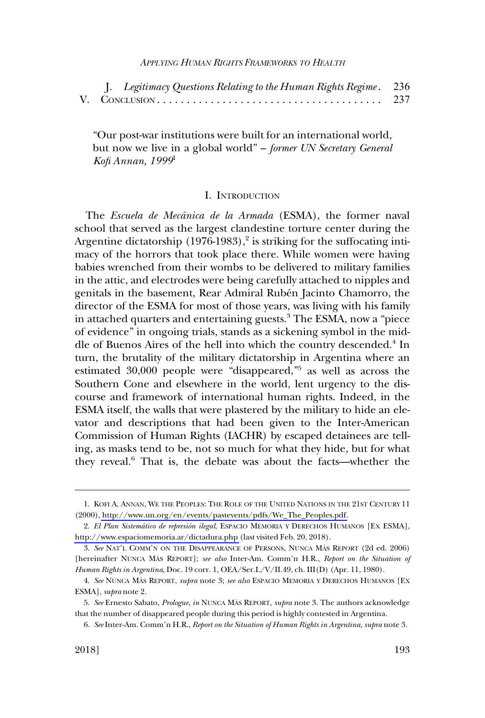<span id="page-2-0"></span>

| J. Legitimacy Questions Relating to the Human Rights Regime. 236 |     |
|------------------------------------------------------------------|-----|
|                                                                  | 237 |

"Our post-war institutions were built for an international world, but now we live in a global world" – *former UN Secretary General Kofi Annan, 1999*<sup>1</sup>

#### I. INTRODUCTION

The *Escuela de Meca´nica de la Armada* (ESMA), the former naval school that served as the largest clandestine torture center during the Argentine dictatorship (1976-1983), 2 is striking for the suffocating intimacy of the horrors that took place there. While women were having babies wrenched from their wombs to be delivered to military families in the attic, and electrodes were being carefully attached to nipples and genitals in the basement, Rear Admiral Rubén Jacinto Chamorro, the director of the ESMA for most of those years, was living with his family in attached quarters and entertaining guests.<sup>3</sup> The ESMA, now a "piece" of evidence" in ongoing trials, stands as a sickening symbol in the middle of Buenos Aires of the hell into which the country descended.<sup>4</sup> In turn, the brutality of the military dictatorship in Argentina where an estimated 30,000 people were "disappeared,"5 as well as across the Southern Cone and elsewhere in the world, lent urgency to the discourse and framework of international human rights. Indeed, in the ESMA itself, the walls that were plastered by the military to hide an elevator and descriptions that had been given to the Inter-American Commission of Human Rights (IACHR) by escaped detainees are telling, as masks tend to be, not so much for what they hide, but for what they reveal.6 That is, the debate was about the facts—whether the

<sup>1.</sup> KOFI A. ANNAN, WE THE PEOPLES: THE ROLE OF THE UNITED NATIONS IN THE 21ST CENTURY 11 (2000), [http://www.un.org/en/events/pastevents/pdfs/We\\_The\\_Peoples.pdf.](http://www.un.org/en/events/pastevents/pdfs/We_The_Peoples.pdf)

<sup>2.</sup> El Plan Sistemático de represión ilegal, ESPACIO MEMORIA Y DERECHOS HUMANOS [EX ESMA], <http://www.espaciomemoria.ar/dictadura.php>(last visited Feb. 20, 2018).

<sup>3.</sup> See NAT'L COMM'N ON THE DISAPPEARANCE OF PERSONS, NUNCA MÁS REPORT (2d ed. 2006) [hereinafter NUNCA MÁS REPORT]; see also Inter-Am. Comm'n H.R., *Report on the Situation of Human Rights in Argentina*, Doc. 19 corr. 1, OEA/Ser.L/V/II.49, ch. III(D) (Apr. 11, 1980).

<sup>4.</sup> See NUNCA MÁS REPORT, *supra* note 3; *see also* ESPACIO MEMORIA Y DERECHOS HUMANOS [EX ESMA], *supra* note 2.

<sup>5.</sup> *See* Ernesto Sabato, *Prologue*, *in* NUNCA MA´ S REPORT, *supra* note 3. The authors acknowledge that the number of disappeared people during this period is highly contested in Argentina.

<sup>6.</sup> *See* Inter-Am. Comm'n H.R., *Report on the Situation of Human Rights in Argentina*, *supra* note 3.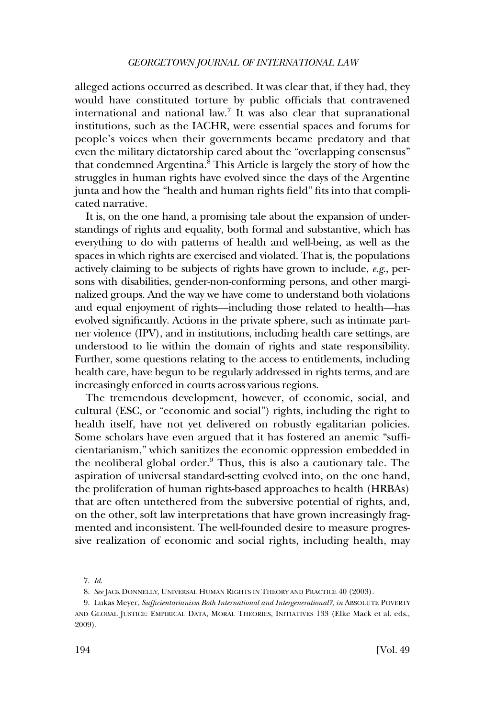alleged actions occurred as described. It was clear that, if they had, they would have constituted torture by public officials that contravened international and national law.7 It was also clear that supranational institutions, such as the IACHR, were essential spaces and forums for people's voices when their governments became predatory and that even the military dictatorship cared about the "overlapping consensus" that condemned Argentina.<sup>8</sup> This Article is largely the story of how the struggles in human rights have evolved since the days of the Argentine junta and how the "health and human rights field" fits into that complicated narrative.

It is, on the one hand, a promising tale about the expansion of understandings of rights and equality, both formal and substantive, which has everything to do with patterns of health and well-being, as well as the spaces in which rights are exercised and violated. That is, the populations actively claiming to be subjects of rights have grown to include, *e.g*., persons with disabilities, gender-non-conforming persons, and other marginalized groups. And the way we have come to understand both violations and equal enjoyment of rights—including those related to health—has evolved significantly. Actions in the private sphere, such as intimate partner violence (IPV), and in institutions, including health care settings, are understood to lie within the domain of rights and state responsibility. Further, some questions relating to the access to entitlements, including health care, have begun to be regularly addressed in rights terms, and are increasingly enforced in courts across various regions.

The tremendous development, however, of economic, social, and cultural (ESC, or "economic and social") rights, including the right to health itself, have not yet delivered on robustly egalitarian policies. Some scholars have even argued that it has fostered an anemic "sufficientarianism," which sanitizes the economic oppression embedded in the neoliberal global order.9 Thus, this is also a cautionary tale. The aspiration of universal standard-setting evolved into, on the one hand, the proliferation of human rights-based approaches to health (HRBAs) that are often untethered from the subversive potential of rights, and, on the other, soft law interpretations that have grown increasingly fragmented and inconsistent. The well-founded desire to measure progressive realization of economic and social rights, including health, may

<sup>7.</sup> *Id*.

<sup>8.</sup> *See* JACK DONNELLY, UNIVERSAL HUMAN RIGHTS IN THEORY AND PRACTICE 40 (2003).

<sup>9.</sup> Lukas Meyer, *Sufficientarianism Both International and Intergenerational?*, *in* ABSOLUTE POVERTY AND GLOBAL JUSTICE: EMPIRICAL DATA, MORAL THEORIES, INITIATIVES 133 (Elke Mack et al. eds., 2009).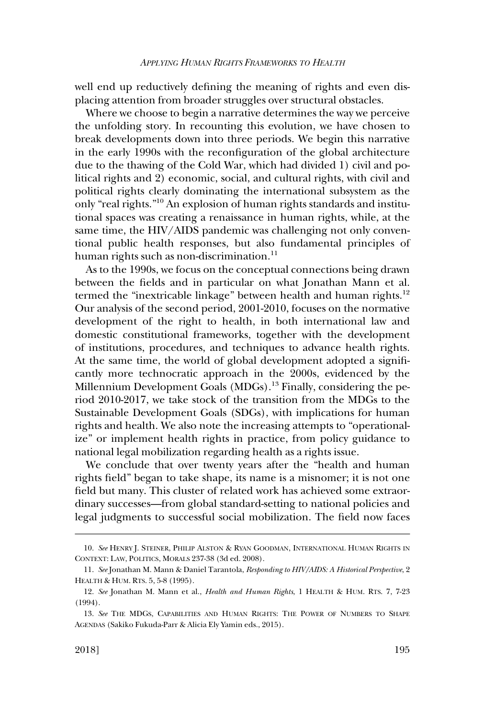well end up reductively defining the meaning of rights and even displacing attention from broader struggles over structural obstacles.

Where we choose to begin a narrative determines the way we perceive the unfolding story. In recounting this evolution, we have chosen to break developments down into three periods. We begin this narrative in the early 1990s with the reconfiguration of the global architecture due to the thawing of the Cold War, which had divided 1) civil and political rights and 2) economic, social, and cultural rights, with civil and political rights clearly dominating the international subsystem as the only "real rights."10 An explosion of human rights standards and institutional spaces was creating a renaissance in human rights, while, at the same time, the HIV/AIDS pandemic was challenging not only conventional public health responses, but also fundamental principles of human rights such as non-discrimination. $^{11}$ 

As to the 1990s, we focus on the conceptual connections being drawn between the fields and in particular on what Jonathan Mann et al. termed the "inextricable linkage" between health and human rights.<sup>12</sup> Our analysis of the second period, 2001-2010, focuses on the normative development of the right to health, in both international law and domestic constitutional frameworks, together with the development of institutions, procedures, and techniques to advance health rights. At the same time, the world of global development adopted a significantly more technocratic approach in the 2000s, evidenced by the Millennium Development Goals (MDGs).<sup>13</sup> Finally, considering the period 2010-2017, we take stock of the transition from the MDGs to the Sustainable Development Goals (SDGs), with implications for human rights and health. We also note the increasing attempts to "operationalize" or implement health rights in practice, from policy guidance to national legal mobilization regarding health as a rights issue.

We conclude that over twenty years after the "health and human rights field" began to take shape, its name is a misnomer; it is not one field but many. This cluster of related work has achieved some extraordinary successes—from global standard-setting to national policies and legal judgments to successful social mobilization. The field now faces

<sup>10.</sup> *See* HENRY J. STEINER, PHILIP ALSTON & RYAN GOODMAN, INTERNATIONAL HUMAN RIGHTS IN CONTEXT: LAW, POLITICS, MORALS 237-38 (3d ed. 2008).

<sup>11.</sup> *See* Jonathan M. Mann & Daniel Tarantola, *Responding to HIV/AIDS: A Historical Perspective*, 2 HEALTH & HUM. RTS. 5, 5-8 (1995).

<sup>12.</sup> *See* Jonathan M. Mann et al., *Health and Human Rights*, 1 HEALTH & HUM. RTS. 7, 7-23 (1994).

<sup>13.</sup> *See* THE MDGS, CAPABILITIES AND HUMAN RIGHTS: THE POWER OF NUMBERS TO SHAPE AGENDAS (Sakiko Fukuda-Parr & Alicia Ely Yamin eds., 2015).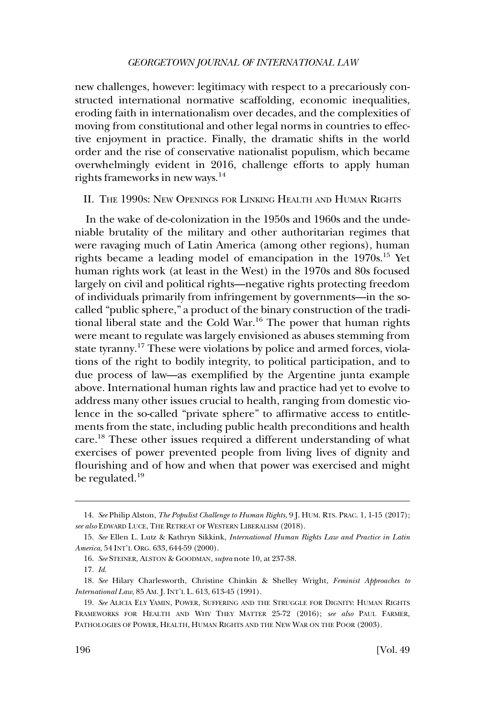<span id="page-5-0"></span>new challenges, however: legitimacy with respect to a precariously constructed international normative scaffolding, economic inequalities, eroding faith in internationalism over decades, and the complexities of moving from constitutional and other legal norms in countries to effective enjoyment in practice. Finally, the dramatic shifts in the world order and the rise of conservative nationalist populism, which became overwhelmingly evident in 2016, challenge efforts to apply human rights frameworks in new ways.14

II. THE 1990S: NEW OPENINGS FOR LINKING HEALTH AND HUMAN RIGHTS

In the wake of de-colonization in the 1950s and 1960s and the undeniable brutality of the military and other authoritarian regimes that were ravaging much of Latin America (among other regions), human rights became a leading model of emancipation in the 1970s.15 Yet human rights work (at least in the West) in the 1970s and 80s focused largely on civil and political rights—negative rights protecting freedom of individuals primarily from infringement by governments—in the socalled "public sphere," a product of the binary construction of the traditional liberal state and the Cold War.<sup>16</sup> The power that human rights were meant to regulate was largely envisioned as abuses stemming from state tyranny.17 These were violations by police and armed forces, violations of the right to bodily integrity, to political participation, and to due process of law—as exemplified by the Argentine junta example above. International human rights law and practice had yet to evolve to address many other issues crucial to health, ranging from domestic violence in the so-called "private sphere" to affirmative access to entitlements from the state, including public health preconditions and health care.18 These other issues required a different understanding of what exercises of power prevented people from living lives of dignity and flourishing and of how and when that power was exercised and might be regulated.<sup>19</sup>

<sup>14.</sup> *See* Philip Alston, *The Populist Challenge to Human Rights*, 9 J. HUM. RTS. PRAC. 1, 1-15 (2017); *see also* EDWARD LUCE, THE RETREAT OF WESTERN LIBERALISM (2018).

<sup>15.</sup> *See* Ellen L. Lutz & Kathryn Sikkink, *International Human Rights Law and Practice in Latin America*, 54 INT'L ORG. 633, 644-59 (2000).

<sup>16.</sup> *See* STEINER, ALSTON & GOODMAN, *supra* note 10, at 237-38.

<sup>17.</sup> *Id*.

<sup>18.</sup> *See* Hilary Charlesworth, Christine Chinkin & Shelley Wright, *Feminist Approaches to International Law*, 85 AM. J. INT'L L. 613, 613-45 (1991).

<sup>19.</sup> *See* ALICIA ELY YAMIN, POWER, SUFFERING AND THE STRUGGLE FOR DIGNITY: HUMAN RIGHTS FRAMEWORKS FOR HEALTH AND WHY THEY MATTER 25-72 (2016); *see also* PAUL FARMER, PATHOLOGIES OF POWER, HEALTH, HUMAN RIGHTS AND THE NEW WAR ON THE POOR (2003).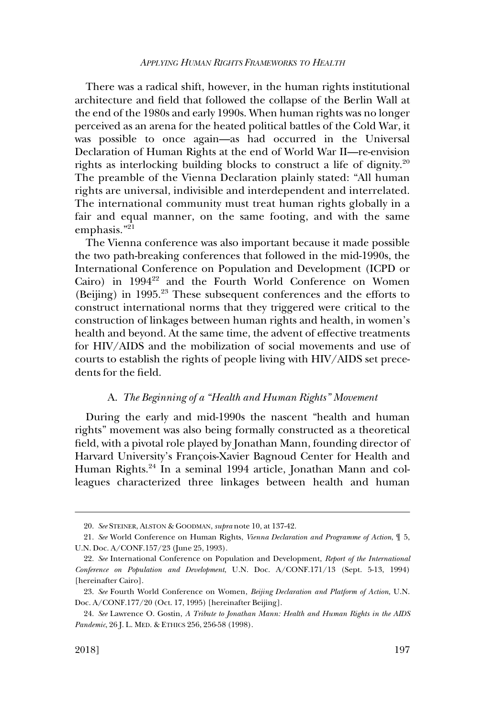<span id="page-6-0"></span>There was a radical shift, however, in the human rights institutional architecture and field that followed the collapse of the Berlin Wall at the end of the 1980s and early 1990s. When human rights was no longer perceived as an arena for the heated political battles of the Cold War, it was possible to once again—as had occurred in the Universal Declaration of Human Rights at the end of World War II—re-envision rights as interlocking building blocks to construct a life of dignity.20 The preamble of the Vienna Declaration plainly stated: "All human rights are universal, indivisible and interdependent and interrelated. The international community must treat human rights globally in a fair and equal manner, on the same footing, and with the same emphasis."21

The Vienna conference was also important because it made possible the two path-breaking conferences that followed in the mid-1990s, the International Conference on Population and Development (ICPD or Cairo) in 1994<sup>22</sup> and the Fourth World Conference on Women (Beijing) in 1995.23 These subsequent conferences and the efforts to construct international norms that they triggered were critical to the construction of linkages between human rights and health, in women's health and beyond. At the same time, the advent of effective treatments for HIV/AIDS and the mobilization of social movements and use of courts to establish the rights of people living with HIV/AIDS set precedents for the field.

#### A. *The Beginning of a "Health and Human Rights" Movement*

During the early and mid-1990s the nascent "health and human rights" movement was also being formally constructed as a theoretical field, with a pivotal role played by Jonathan Mann, founding director of Harvard University's François-Xavier Bagnoud Center for Health and Human Rights.24 In a seminal 1994 article, Jonathan Mann and colleagues characterized three linkages between health and human

<sup>20.</sup> *See* STEINER, ALSTON & GOODMAN, *supra* note 10, at 137-42.

<sup>21.</sup> *See* World Conference on Human Rights, *Vienna Declaration and Programme of Action*, ¶ 5, U.N. Doc. A/CONF.157/23 (June 25, 1993).

<sup>22.</sup> *See* International Conference on Population and Development, *Report of the International Conference on Population and Development*, U.N. Doc. A/CONF.171/13 (Sept. 5-13, 1994) [hereinafter Cairo].

<sup>23.</sup> *See* Fourth World Conference on Women, *Beijing Declaration and Platform of Action*, U.N. Doc. A/CONF.177/20 (Oct. 17, 1995) [hereinafter Beijing].

<sup>24.</sup> *See* Lawrence O. Gostin, *A Tribute to Jonathan Mann: Health and Human Rights in the AIDS Pandemic*, 26 J. L. MED. & ETHICS 256, 256-58 (1998).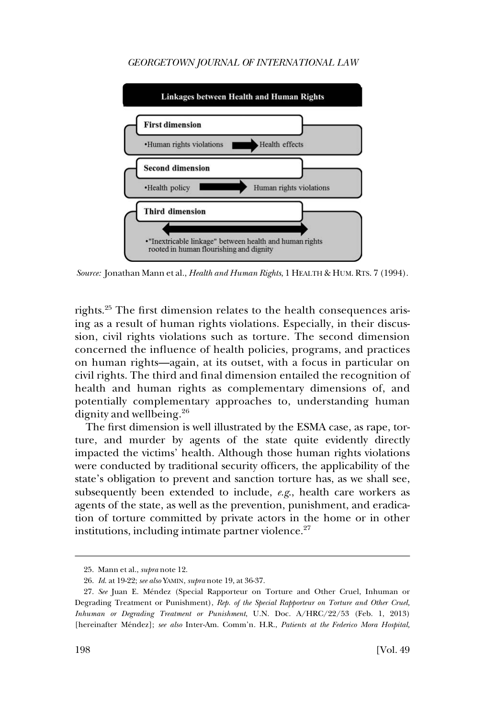

*Source:* Jonathan Mann et al., *Health and Human Rights*, 1 HEALTH & HUM. RTS. 7 (1994).

rights.25 The first dimension relates to the health consequences arising as a result of human rights violations. Especially, in their discussion, civil rights violations such as torture. The second dimension concerned the influence of health policies, programs, and practices on human rights—again, at its outset, with a focus in particular on civil rights. The third and final dimension entailed the recognition of health and human rights as complementary dimensions of, and potentially complementary approaches to, understanding human dignity and wellbeing.<sup>26</sup>

The first dimension is well illustrated by the ESMA case, as rape, torture, and murder by agents of the state quite evidently directly impacted the victims' health. Although those human rights violations were conducted by traditional security officers, the applicability of the state's obligation to prevent and sanction torture has, as we shall see, subsequently been extended to include, *e.g*., health care workers as agents of the state, as well as the prevention, punishment, and eradication of torture committed by private actors in the home or in other institutions, including intimate partner violence. $27$ 

<sup>25.</sup> Mann et al., *supra* note 12.

<sup>26.</sup> *Id*. at 19-22; *see also* YAMIN, *supra* note 19, at 36-37.

<sup>27.</sup> See Juan E. Méndez (Special Rapporteur on Torture and Other Cruel, Inhuman or Degrading Treatment or Punishment), *Rep. of the Special Rapporteur on Torture and Other Cruel, Inhuman or Degrading Treatment or Punishment*, U.N. Doc. A/HRC/22/53 (Feb. 1, 2013) [hereinafter Me´ndez]; *see also* Inter-Am. Comm'n. H.R., *Patients at the Federico Mora Hospital,*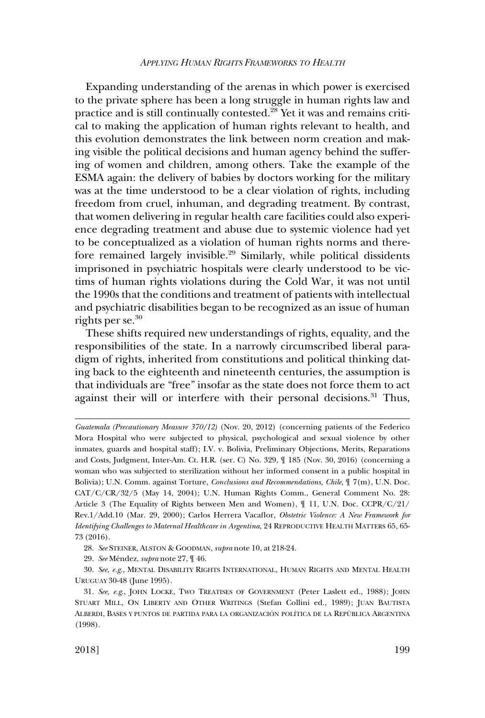Expanding understanding of the arenas in which power is exercised to the private sphere has been a long struggle in human rights law and practice and is still continually contested.28 Yet it was and remains critical to making the application of human rights relevant to health, and this evolution demonstrates the link between norm creation and making visible the political decisions and human agency behind the suffering of women and children, among others. Take the example of the ESMA again: the delivery of babies by doctors working for the military was at the time understood to be a clear violation of rights, including freedom from cruel, inhuman, and degrading treatment. By contrast, that women delivering in regular health care facilities could also experience degrading treatment and abuse due to systemic violence had yet to be conceptualized as a violation of human rights norms and therefore remained largely invisible.<sup>29</sup> Similarly, while political dissidents imprisoned in psychiatric hospitals were clearly understood to be victims of human rights violations during the Cold War, it was not until the 1990s that the conditions and treatment of patients with intellectual and psychiatric disabilities began to be recognized as an issue of human rights per se.<sup>30</sup>

These shifts required new understandings of rights, equality, and the responsibilities of the state. In a narrowly circumscribed liberal paradigm of rights, inherited from constitutions and political thinking dating back to the eighteenth and nineteenth centuries, the assumption is that individuals are "free" insofar as the state does not force them to act against their will or interfere with their personal decisions.<sup>31</sup> Thus,

*Guatemala (Precautionary Measure 370/12)* (Nov. 20, 2012) (concerning patients of the Federico Mora Hospital who were subjected to physical, psychological and sexual violence by other inmates, guards and hospital staff); I.V. v. Bolivia, Preliminary Objections, Merits, Reparations and Costs, Judgment, Inter-Am. Ct. H.R. (ser. C) No. 329, ¶ 185 (Nov. 30, 2016) (concerning a woman who was subjected to sterilization without her informed consent in a public hospital in Bolivia); U.N. Comm. against Torture, *Conclusions and Recommendations, Chile*, ¶ 7(m), U.N. Doc. CAT/C/CR/32/5 (May 14, 2004); U.N. Human Rights Comm., General Comment No. 28: Article 3 (The Equality of Rights between Men and Women), ¶ 11, U.N. Doc. CCPR/C/21/ Rev.1/Add.10 (Mar. 29, 2000); Carlos Herrera Vacaflor, *Obstetric Violence: A New Framework for Identifying Challenges to Maternal Healthcare in Argentina*, 24 REPRODUCTIVE HEALTH MATTERS 65, 65- 73 (2016).

<sup>28.</sup> *See* STEINER, ALSTON & GOODMAN, *supra* note 10, at 218-24.

<sup>29.</sup> *See* Me´ndez, *supra* note 27, ¶ 46.

<sup>30.</sup> *See, e.g*., MENTAL DISABILITY RIGHTS INTERNATIONAL, HUMAN RIGHTS AND MENTAL HEALTH URUGUAY 30-48 (June 1995).

<sup>31.</sup> *See, e.g*., JOHN LOCKE, TWO TREATISES OF GOVERNMENT (Peter Laslett ed., 1988); JOHN STUART MILL, ON LIBERTY AND OTHER WRITINGS (Stefan Collini ed., 1989); JUAN BAUTISTA ALBERDI, BASES Y PUNTOS DE PARTIDA PARA LA ORGANIZACIÓN POLÍTICA DE LA REPÚBLICA ARGENTINA (1998).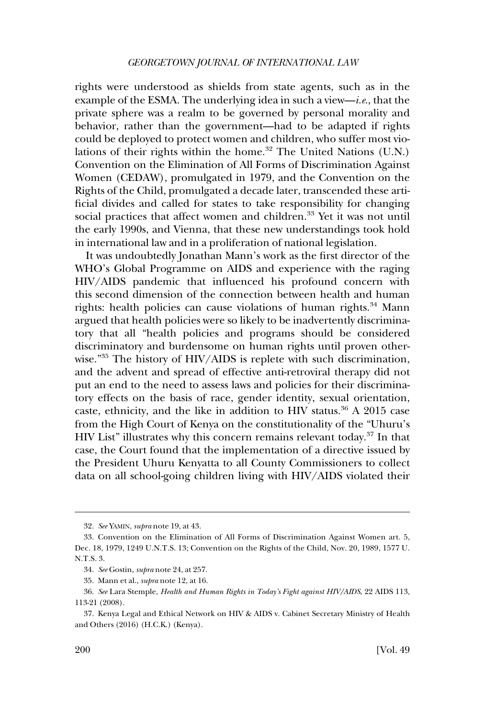rights were understood as shields from state agents, such as in the example of the ESMA. The underlying idea in such a view—*i.e*., that the private sphere was a realm to be governed by personal morality and behavior, rather than the government—had to be adapted if rights could be deployed to protect women and children, who suffer most violations of their rights within the home.<sup>32</sup> The United Nations (U.N.) Convention on the Elimination of All Forms of Discrimination Against Women (CEDAW), promulgated in 1979, and the Convention on the Rights of the Child, promulgated a decade later, transcended these artificial divides and called for states to take responsibility for changing social practices that affect women and children.<sup>33</sup> Yet it was not until the early 1990s, and Vienna, that these new understandings took hold in international law and in a proliferation of national legislation.

It was undoubtedly Jonathan Mann's work as the first director of the WHO's Global Programme on AIDS and experience with the raging HIV/AIDS pandemic that influenced his profound concern with this second dimension of the connection between health and human rights: health policies can cause violations of human rights.<sup>34</sup> Mann argued that health policies were so likely to be inadvertently discriminatory that all "health policies and programs should be considered discriminatory and burdensome on human rights until proven otherwise."<sup>35</sup> The history of HIV/AIDS is replete with such discrimination, and the advent and spread of effective anti-retroviral therapy did not put an end to the need to assess laws and policies for their discriminatory effects on the basis of race, gender identity, sexual orientation, caste, ethnicity, and the like in addition to HIV status.<sup>36</sup> A 2015 case from the High Court of Kenya on the constitutionality of the "Uhuru's HIV List" illustrates why this concern remains relevant today.<sup>37</sup> In that case, the Court found that the implementation of a directive issued by the President Uhuru Kenyatta to all County Commissioners to collect data on all school-going children living with HIV/AIDS violated their

<sup>32.</sup> *See* YAMIN, *supra* note 19, at 43.

<sup>33.</sup> Convention on the Elimination of All Forms of Discrimination Against Women art. 5, Dec. 18, 1979, 1249 U.N.T.S. 13; Convention on the Rights of the Child, Nov. 20, 1989, 1577 U. N.T.S. 3.

<sup>34.</sup> *See* Gostin, *supra* note 24, at 257.

<sup>35.</sup> Mann et al., *supra* note 12, at 16.

<sup>36.</sup> *See* Lara Stemple, *Health and Human Rights in Today's Fight against HIV/AIDS*, 22 AIDS 113, 113-21 (2008).

<sup>37.</sup> Kenya Legal and Ethical Network on HIV & AIDS v. Cabinet Secretary Ministry of Health and Others (2016) (H.C.K.) (Kenya).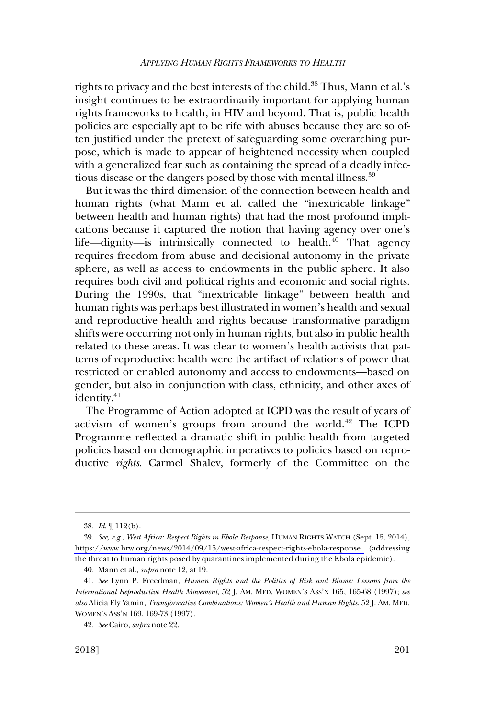rights to privacy and the best interests of the child.<sup>38</sup> Thus, Mann et al.'s insight continues to be extraordinarily important for applying human rights frameworks to health, in HIV and beyond. That is, public health policies are especially apt to be rife with abuses because they are so often justified under the pretext of safeguarding some overarching purpose, which is made to appear of heightened necessity when coupled with a generalized fear such as containing the spread of a deadly infectious disease or the dangers posed by those with mental illness.<sup>39</sup>

But it was the third dimension of the connection between health and human rights (what Mann et al. called the "inextricable linkage" between health and human rights) that had the most profound implications because it captured the notion that having agency over one's life—dignity—is intrinsically connected to health. $40$  That agency requires freedom from abuse and decisional autonomy in the private sphere, as well as access to endowments in the public sphere. It also requires both civil and political rights and economic and social rights. During the 1990s, that "inextricable linkage" between health and human rights was perhaps best illustrated in women's health and sexual and reproductive health and rights because transformative paradigm shifts were occurring not only in human rights, but also in public health related to these areas. It was clear to women's health activists that patterns of reproductive health were the artifact of relations of power that restricted or enabled autonomy and access to endowments—based on gender, but also in conjunction with class, ethnicity, and other axes of identity.<sup>41</sup>

The Programme of Action adopted at ICPD was the result of years of activism of women's groups from around the world. $42$  The ICPD Programme reflected a dramatic shift in public health from targeted policies based on demographic imperatives to policies based on reproductive *rights*. Carmel Shalev, formerly of the Committee on the

<sup>38.</sup> *Id*. ¶ 112(b).

*See, e.g*., *West Africa: Respect Rights in Ebola Response*, HUMAN RIGHTS WATCH (Sept. 15, 2014), 39. <https://www.hrw.org/news/2014/09/15/west-africa-respect-rights-ebola-response>(addressing the threat to human rights posed by quarantines implemented during the Ebola epidemic).

<sup>40.</sup> Mann et al., *supra* note 12, at 19.

<sup>41.</sup> *See* Lynn P. Freedman, *Human Rights and the Politics of Risk and Blame: Lessons from the International Reproductive Health Movement*, 52 J. AM. MED. WOMEN'S ASS'N 165, 165-68 (1997); *see also* Alicia Ely Yamin, *Transformative Combinations: Women's Health and Human Rights*, 52 J. AM. MED. WOMEN'S ASS'N 169, 169-73 (1997).

<sup>42.</sup> *See* Cairo, *supra* note 22.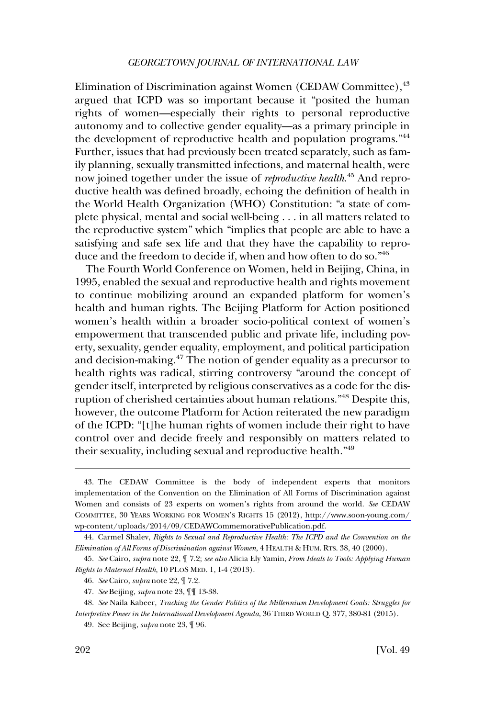Elimination of Discrimination against Women (CEDAW Committee), <sup>43</sup> argued that ICPD was so important because it "posited the human rights of women—especially their rights to personal reproductive autonomy and to collective gender equality—as a primary principle in the development of reproductive health and population programs."<sup>44</sup> Further, issues that had previously been treated separately, such as family planning, sexually transmitted infections, and maternal health, were now joined together under the issue of *reproductive health*. 45 And reproductive health was defined broadly, echoing the definition of health in the World Health Organization (WHO) Constitution: "a state of complete physical, mental and social well-being . . . in all matters related to the reproductive system" which "implies that people are able to have a satisfying and safe sex life and that they have the capability to reproduce and the freedom to decide if, when and how often to do so."46

The Fourth World Conference on Women, held in Beijing, China, in 1995, enabled the sexual and reproductive health and rights movement to continue mobilizing around an expanded platform for women's health and human rights. The Beijing Platform for Action positioned women's health within a broader socio-political context of women's empowerment that transcended public and private life, including poverty, sexuality, gender equality, employment, and political participation and decision-making.<sup>47</sup> The notion of gender equality as a precursor to health rights was radical, stirring controversy "around the concept of gender itself, interpreted by religious conservatives as a code for the disruption of cherished certainties about human relations."48 Despite this, however, the outcome Platform for Action reiterated the new paradigm of the ICPD: "[t]he human rights of women include their right to have control over and decide freely and responsibly on matters related to their sexuality, including sexual and reproductive health."49

<sup>43.</sup> The CEDAW Committee is the body of independent experts that monitors implementation of the Convention on the Elimination of All Forms of Discrimination against Women and consists of 23 experts on women's rights from around the world. *See* CEDAW COMMITTEE, 30 YEARS WORKING FOR WOMEN'S RIGHTS 15 (2012), [http://www.soon-young.com/](http://www.soon-young.com/wp-content/uploads/2014/09/CEDAWCommemorativePublication.pdf)  [wp-content/uploads/2014/09/CEDAWCommemorativePublication.pdf](http://www.soon-young.com/wp-content/uploads/2014/09/CEDAWCommemorativePublication.pdf).

<sup>44.</sup> Carmel Shalev, *Rights to Sexual and Reproductive Health: The ICPD and the Convention on the Elimination of All Forms of Discrimination against Women*, 4 HEALTH & HUM. RTS. 38, 40 (2000).

<sup>45.</sup> *See* Cairo, *supra* note 22, ¶ 7.2; *see also* Alicia Ely Yamin, *From Ideals to Tools: Applying Human Rights to Maternal Health*, 10 PLOS MED. 1, 1-4 (2013).

<sup>46.</sup> *See* Cairo, *supra* note 22, ¶ 7.2.

<sup>47.</sup> *See* Beijing, *supra* note 23, ¶¶ 13-38.

<sup>48.</sup> *See* Naila Kabeer, *Tracking the Gender Politics of the Millennium Development Goals: Struggles for Interpretive Power in the International Development Agenda*, 36 THIRD WORLD Q. 377, 380-81 (2015).

<sup>49.</sup> See Beijing, *supra* note 23, ¶ 96.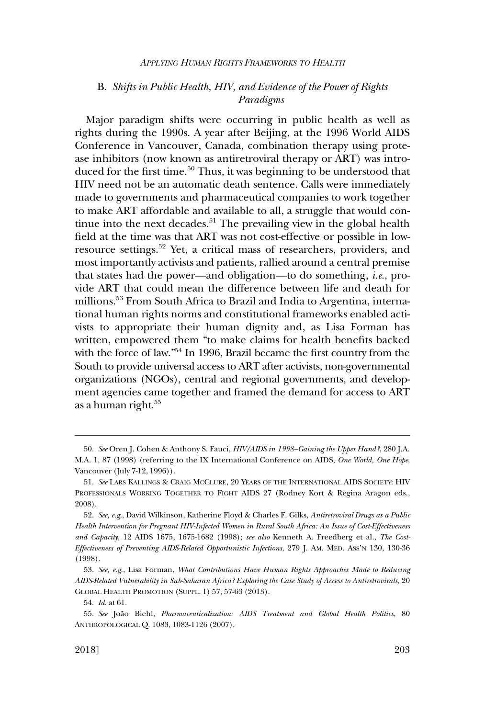# <span id="page-12-0"></span>B. *Shifts in Public Health, HIV, and Evidence of the Power of Rights Paradigms*

Major paradigm shifts were occurring in public health as well as rights during the 1990s. A year after Beijing, at the 1996 World AIDS Conference in Vancouver, Canada, combination therapy using protease inhibitors (now known as antiretroviral therapy or ART) was introduced for the first time.<sup>50</sup> Thus, it was beginning to be understood that HIV need not be an automatic death sentence. Calls were immediately made to governments and pharmaceutical companies to work together to make ART affordable and available to all, a struggle that would continue into the next decades.<sup>51</sup> The prevailing view in the global health field at the time was that ART was not cost-effective or possible in lowresource settings.52 Yet, a critical mass of researchers, providers, and most importantly activists and patients, rallied around a central premise that states had the power—and obligation—to do something, *i.e*., provide ART that could mean the difference between life and death for millions.53 From South Africa to Brazil and India to Argentina, international human rights norms and constitutional frameworks enabled activists to appropriate their human dignity and, as Lisa Forman has written, empowered them "to make claims for health benefits backed with the force of law."<sup>54</sup> In 1996, Brazil became the first country from the South to provide universal access to ART after activists, non-governmental organizations (NGOs), central and regional governments, and development agencies came together and framed the demand for access to ART as a human right.55

<sup>50.</sup> *See* Oren J. Cohen & Anthony S. Fauci, *HIV/AIDS in 1998–Gaining the Upper Hand?*, 280 J.A. M.A. 1, 87 (1998) (referring to the IX International Conference on AIDS, *One World, One Hope*, Vancouver (July 7-12, 1996)).

<sup>51.</sup> *See* LARS KALLINGS & CRAIG MCCLURE, 20 YEARS OF THE INTERNATIONAL AIDS SOCIETY: HIV PROFESSIONALS WORKING TOGETHER TO FIGHT AIDS 27 (Rodney Kort & Regina Aragon eds., 2008).

<sup>52.</sup> *See, e.g*., David Wilkinson, Katherine Floyd & Charles F. Gilks, *Antiretroviral Drugs as a Public Health Intervention for Pregnant HIV-Infected Women in Rural South Africa: An Issue of Cost-Effectiveness and Capacity*, 12 AIDS 1675, 1675-1682 (1998); *see also* Kenneth A. Freedberg et al., *The Cost-Effectiveness of Preventing AIDS-Related Opportunistic Infections*, 279 J. AM. MED. ASS'N 130, 130-36 (1998).

<sup>53.</sup> *See, e.g*., Lisa Forman, *What Contributions Have Human Rights Approaches Made to Reducing AIDS-Related Vulnerability in Sub-Saharan Africa? Exploring the Case Study of Access to Antiretrovirals*, 20 GLOBAL HEALTH PROMOTION (SUPPL. 1) 57, 57-63 (2013).

<sup>54.</sup> *Id*. at 61.

<sup>55.</sup> *See* Joa˜o Biehl, *Pharmaceuticalization: AIDS Treatment and Global Health Politics*, 80 ANTHROPOLOGICAL Q. 1083, 1083-1126 (2007).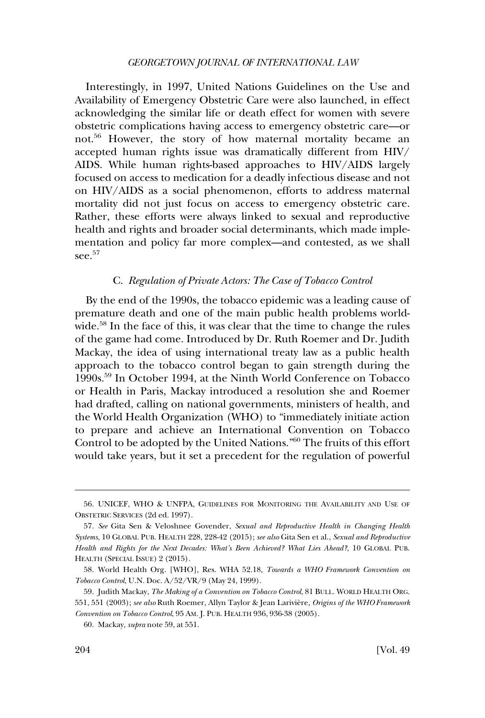<span id="page-13-0"></span>Interestingly, in 1997, United Nations Guidelines on the Use and Availability of Emergency Obstetric Care were also launched, in effect acknowledging the similar life or death effect for women with severe obstetric complications having access to emergency obstetric care—or not.56 However, the story of how maternal mortality became an accepted human rights issue was dramatically different from HIV/ AIDS. While human rights-based approaches to HIV/AIDS largely focused on access to medication for a deadly infectious disease and not on HIV/AIDS as a social phenomenon, efforts to address maternal mortality did not just focus on access to emergency obstetric care. Rather, these efforts were always linked to sexual and reproductive health and rights and broader social determinants, which made implementation and policy far more complex—and contested, as we shall see.<sup>57</sup>

# C. *Regulation of Private Actors: The Case of Tobacco Control*

By the end of the 1990s, the tobacco epidemic was a leading cause of premature death and one of the main public health problems worldwide.<sup>58</sup> In the face of this, it was clear that the time to change the rules of the game had come. Introduced by Dr. Ruth Roemer and Dr. Judith Mackay, the idea of using international treaty law as a public health approach to the tobacco control began to gain strength during the 1990s.59 In October 1994, at the Ninth World Conference on Tobacco or Health in Paris, Mackay introduced a resolution she and Roemer had drafted, calling on national governments, ministers of health, and the World Health Organization (WHO) to "immediately initiate action to prepare and achieve an International Convention on Tobacco Control to be adopted by the United Nations."60 The fruits of this effort would take years, but it set a precedent for the regulation of powerful

<sup>56.</sup> UNICEF, WHO & UNFPA, GUIDELINES FOR MONITORING THE AVAILABILITY AND USE OF OBSTETRIC SERVICES (2d ed. 1997).

<sup>57.</sup> *See* Gita Sen & Veloshnee Govender, *Sexual and Reproductive Health in Changing Health Systems*, 10 GLOBAL PUB. HEALTH 228, 228-42 (2015); *see also* Gita Sen et al., *Sexual and Reproductive Health and Rights for the Next Decades: What's Been Achieved? What Lies Ahead?*, 10 GLOBAL PUB. HEALTH (SPECIAL ISSUE) 2 (2015).

<sup>58.</sup> World Health Org. [WHO], Res. WHA 52.18, *Towards a WHO Framework Convention on Tobacco Control*, U.N. Doc. A/52/VR/9 (May 24, 1999).

<sup>59.</sup> Judith Mackay, *The Making of a Convention on Tobacco Control*, 81 BULL. WORLD HEALTH ORG. 551, 551 (2003); see also Ruth Roemer, Allyn Taylor & Jean Larivière, *Origins of the WHO Framework Convention on Tobacco Control*, 95 AM. J. PUB. HEALTH 936, 936-38 (2005).

<sup>60.</sup> Mackay, *supra* note 59, at 551.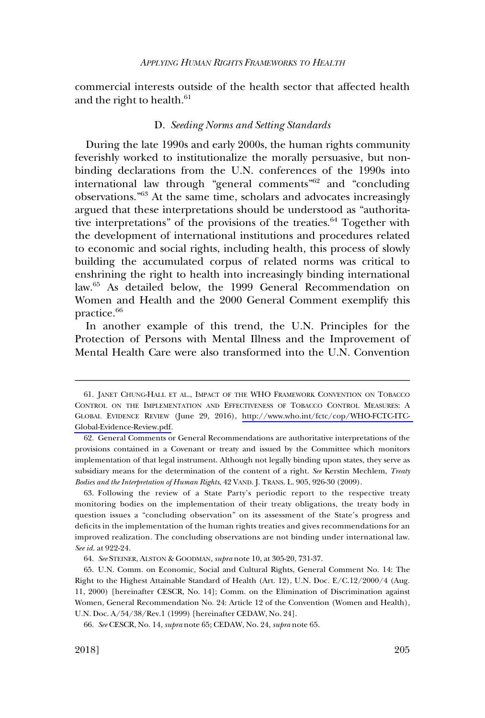<span id="page-14-0"></span>commercial interests outside of the health sector that affected health and the right to health.<sup>61</sup>

# D. *Seeding Norms and Setting Standards*

During the late 1990s and early 2000s, the human rights community feverishly worked to institutionalize the morally persuasive, but nonbinding declarations from the U.N. conferences of the 1990s into international law through "general comments"<sup>62</sup> and "concluding" observations."63 At the same time, scholars and advocates increasingly argued that these interpretations should be understood as "authoritative interpretations" of the provisions of the treaties. $64$  Together with the development of international institutions and procedures related to economic and social rights, including health, this process of slowly building the accumulated corpus of related norms was critical to enshrining the right to health into increasingly binding international law.<sup>65</sup> As detailed below, the 1999 General Recommendation on Women and Health and the 2000 General Comment exemplify this practice.<sup>66</sup>

In another example of this trend, the U.N. Principles for the Protection of Persons with Mental Illness and the Improvement of Mental Health Care were also transformed into the U.N. Convention

<sup>61.</sup> JANET CHUNG-HALL ET AL., IMPACT OF THE WHO FRAMEWORK CONVENTION ON TOBACCO CONTROL ON THE IMPLEMENTATION AND EFFECTIVENESS OF TOBACCO CONTROL MEASURES: A GLOBAL EVIDENCE REVIEW (June 29, 2016), [http://www.who.int/fctc/cop/WHO-FCTC-ITC-](http://www.who.int/fctc/cop/WHO-FCTC-ITC-Global-Evidence-Review.pdf)[Global-Evidence-Review.pdf.](http://www.who.int/fctc/cop/WHO-FCTC-ITC-Global-Evidence-Review.pdf)

<sup>62.</sup> General Comments or General Recommendations are authoritative interpretations of the provisions contained in a Covenant or treaty and issued by the Committee which monitors implementation of that legal instrument. Although not legally binding upon states, they serve as subsidiary means for the determination of the content of a right. *See* Kerstin Mechlem, *Treaty Bodies and the Interpretation of Human Rights*, 42 VAND. J. TRANS. L. 905, 926-30 (2009).

<sup>63.</sup> Following the review of a State Party's periodic report to the respective treaty monitoring bodies on the implementation of their treaty obligations, the treaty body in question issues a "concluding observation" on its assessment of the State's progress and deficits in the implementation of the human rights treaties and gives recommendations for an improved realization. The concluding observations are not binding under international law. *See id*. at 922-24.

<sup>64.</sup> *See* STEINER, ALSTON & GOODMAN, *supra* note 10, at 305-20, 731-37.

<sup>65.</sup> U.N. Comm. on Economic, Social and Cultural Rights, General Comment No. 14: The Right to the Highest Attainable Standard of Health (Art. 12), U.N. Doc. E/C.12/2000/4 (Aug. 11, 2000) [hereinafter CESCR, No. 14]; Comm. on the Elimination of Discrimination against Women, General Recommendation No. 24: Article 12 of the Convention (Women and Health), U.N. Doc. A/54/38/Rev.1 (1999) [hereinafter CEDAW, No. 24].

<sup>66.</sup> *See* CESCR, No. 14, *supra* note 65; CEDAW, No. 24, *supra* note 65.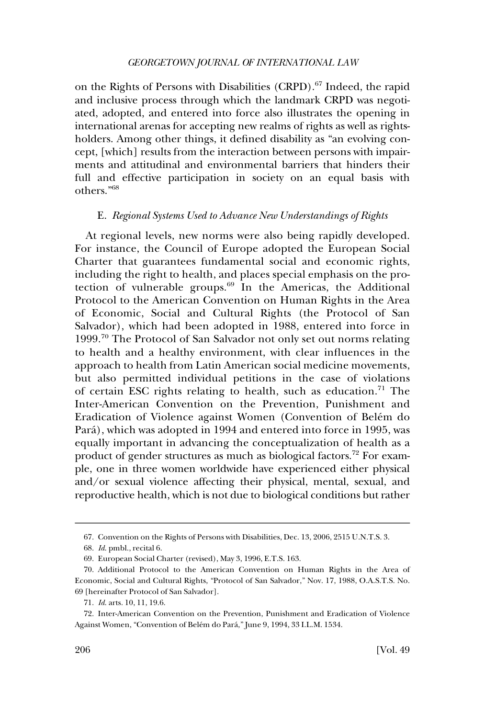<span id="page-15-0"></span>on the Rights of Persons with Disabilities (CRPD).<sup>67</sup> Indeed, the rapid and inclusive process through which the landmark CRPD was negotiated, adopted, and entered into force also illustrates the opening in international arenas for accepting new realms of rights as well as rightsholders. Among other things, it defined disability as "an evolving concept, [which] results from the interaction between persons with impairments and attitudinal and environmental barriers that hinders their full and effective participation in society on an equal basis with others."68

## E. *Regional Systems Used to Advance New Understandings of Rights*

At regional levels, new norms were also being rapidly developed. For instance, the Council of Europe adopted the European Social Charter that guarantees fundamental social and economic rights, including the right to health, and places special emphasis on the protection of vulnerable groups. $69$  In the Americas, the Additional Protocol to the American Convention on Human Rights in the Area of Economic, Social and Cultural Rights (the Protocol of San Salvador), which had been adopted in 1988, entered into force in 1999.<sup>70</sup> The Protocol of San Salvador not only set out norms relating to health and a healthy environment, with clear influences in the approach to health from Latin American social medicine movements, but also permitted individual petitions in the case of violations of certain ESC rights relating to health, such as education.<sup>71</sup> The Inter-American Convention on the Prevention, Punishment and Eradication of Violence against Women (Convention of Belém do Pará), which was adopted in 1994 and entered into force in 1995, was equally important in advancing the conceptualization of health as a product of gender structures as much as biological factors.72 For example, one in three women worldwide have experienced either physical and/or sexual violence affecting their physical, mental, sexual, and reproductive health, which is not due to biological conditions but rather

<sup>67.</sup> Convention on the Rights of Persons with Disabilities, Dec. 13, 2006, 2515 U.N.T.S. 3.

<sup>68.</sup> *Id*. pmbl., recital 6.

<sup>69.</sup> European Social Charter (revised), May 3, 1996, E.T.S. 163.

<sup>70.</sup> Additional Protocol to the American Convention on Human Rights in the Area of Economic, Social and Cultural Rights, "Protocol of San Salvador," Nov. 17, 1988, O.A.S.T.S. No. 69 [hereinafter Protocol of San Salvador].

<sup>71.</sup> *Id*. arts. 10, 11, 19.6.

<sup>72.</sup> Inter-American Convention on the Prevention, Punishment and Eradication of Violence Against Women, "Convention of Belém do Pará," June 9, 1994, 33 I.L.M. 1534.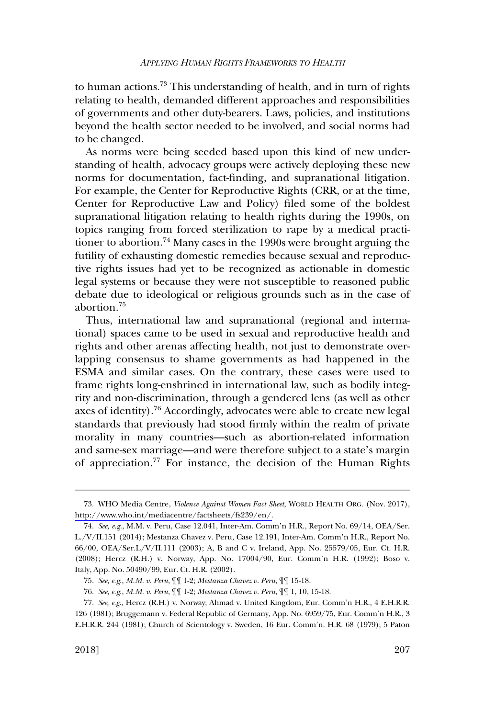to human actions.<sup>73</sup> This understanding of health, and in turn of rights relating to health, demanded different approaches and responsibilities of governments and other duty-bearers. Laws, policies, and institutions beyond the health sector needed to be involved, and social norms had to be changed.

As norms were being seeded based upon this kind of new understanding of health, advocacy groups were actively deploying these new norms for documentation, fact-finding, and supranational litigation. For example, the Center for Reproductive Rights (CRR, or at the time, Center for Reproductive Law and Policy) filed some of the boldest supranational litigation relating to health rights during the 1990s, on topics ranging from forced sterilization to rape by a medical practitioner to abortion.74 Many cases in the 1990s were brought arguing the futility of exhausting domestic remedies because sexual and reproductive rights issues had yet to be recognized as actionable in domestic legal systems or because they were not susceptible to reasoned public debate due to ideological or religious grounds such as in the case of abortion.75

Thus, international law and supranational (regional and international) spaces came to be used in sexual and reproductive health and rights and other arenas affecting health, not just to demonstrate overlapping consensus to shame governments as had happened in the ESMA and similar cases. On the contrary, these cases were used to frame rights long-enshrined in international law, such as bodily integrity and non-discrimination, through a gendered lens (as well as other axes of identity).76 Accordingly, advocates were able to create new legal standards that previously had stood firmly within the realm of private morality in many countries—such as abortion-related information and same-sex marriage—and were therefore subject to a state's margin of appreciation.77 For instance, the decision of the Human Rights

WHO Media Centre, *Violence Against Women Fact Sheet*, WORLD HEALTH ORG. (Nov. 2017), 73. [http://www.who.int/mediacentre/factsheets/fs239/en/.](http://www.who.int/mediacentre/factsheets/fs239/en/)

<sup>74.</sup> *See, e.g*., M.M. v. Peru, Case 12.041, Inter-Am. Comm'n H.R., Report No. 69/14, OEA/Ser. L./V/II.151 (2014); Mestanza Chavez v. Peru, Case 12.191, Inter-Am. Comm'n H.R., Report No. 66/00, OEA/Ser.L/V/II.111 (2003); A, B and C v. Ireland, App. No. 25579/05, Eur. Ct. H.R. (2008); Hercz (R.H.) v. Norway, App. No. 17004/90, Eur. Comm'n H.R. (1992); Boso v. Italy, App. No. 50490/99, Eur. Ct. H.R. (2002).

<sup>75.</sup> *See, e.g*., *M.M. v. Peru*, ¶¶ 1-2; *Mestanza Chavez v. Peru*, ¶¶ 15-18.

<sup>76.</sup> *See, e.g*., *M.M. v. Peru*, ¶¶ 1-2; *Mestanza Chavez v. Peru*, ¶¶ 1, 10, 15-18.

<sup>77.</sup> *See, e.g*., Hercz (R.H.) v. Norway; Ahmad v. United Kingdom, Eur. Comm'n H.R., 4 E.H.R.R. 126 (1981); Bruggemann v. Federal Republic of Germany, App. No. 6959/75, Eur. Comm'n H.R., 3 E.H.R.R. 244 (1981); Church of Scientology v. Sweden, 16 Eur. Comm'n. H.R. 68 (1979); 5 Paton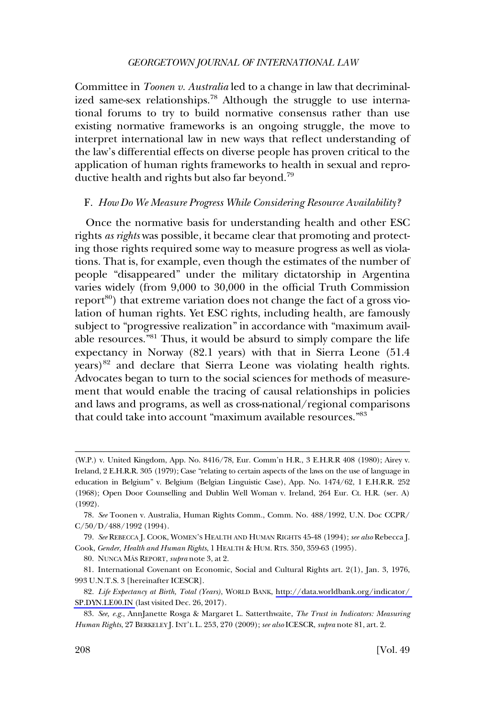<span id="page-17-0"></span>Committee in *Toonen v. Australia* led to a change in law that decriminalized same-sex relationships.<sup>78</sup> Although the struggle to use international forums to try to build normative consensus rather than use existing normative frameworks is an ongoing struggle, the move to interpret international law in new ways that reflect understanding of the law's differential effects on diverse people has proven critical to the application of human rights frameworks to health in sexual and reproductive health and rights but also far beyond.79

# F. *How Do We Measure Progress While Considering Resource Availability?*

Once the normative basis for understanding health and other ESC rights *as rights* was possible, it became clear that promoting and protecting those rights required some way to measure progress as well as violations. That is, for example, even though the estimates of the number of people "disappeared" under the military dictatorship in Argentina varies widely (from 9,000 to 30,000 in the official Truth Commission report<sup>80</sup>) that extreme variation does not change the fact of a gross violation of human rights. Yet ESC rights, including health, are famously subject to "progressive realization" in accordance with "maximum available resources."81 Thus, it would be absurd to simply compare the life expectancy in Norway (82.1 years) with that in Sierra Leone (51.4 years)<sup>82</sup> and declare that Sierra Leone was violating health rights. Advocates began to turn to the social sciences for methods of measurement that would enable the tracing of causal relationships in policies and laws and programs, as well as cross-national/regional comparisons that could take into account "maximum available resources."<sup>83</sup>

80. NUNCA MÁS REPORT, *supra* note 3, at 2.

<sup>(</sup>W.P.) v. United Kingdom, App. No. 8416/78, Eur. Comm'n H.R., 3 E.H.R.R 408 (1980); Airey v. Ireland, 2 E.H.R.R. 305 (1979); Case "relating to certain aspects of the laws on the use of language in education in Belgium" v. Belgium (Belgian Linguistic Case), App. No. 1474/62, 1 E.H.R.R. 252 (1968); Open Door Counselling and Dublin Well Woman v. Ireland, 264 Eur. Ct. H.R. (ser. A) (1992).

<sup>78.</sup> *See* Toonen v. Australia, Human Rights Comm., Comm. No. 488/1992, U.N. Doc CCPR/  $C/50/D/488/1992$  (1994).

<sup>79.</sup> *See* REBECCA J. COOK, WOMEN'S HEALTH AND HUMAN RIGHTS 45-48 (1994); *see also* Rebecca J. Cook, *Gender, Health and Human Rights*, 1 HEALTH & HUM. RTS. 350, 359-63 (1995).

<sup>81.</sup> International Covenant on Economic, Social and Cultural Rights art. 2(1), Jan. 3, 1976, 993 U.N.T.S. 3 [hereinafter ICESCR].

*Life Expectancy at Birth, Total (Years)*, WORLD BANK, [http://data.worldbank.org/indicator/](http://data.worldbank.org/indicator/SP.DYN.LE00.IN)  82. [SP.DYN.LE00.IN](http://data.worldbank.org/indicator/SP.DYN.LE00.IN) (last visited Dec. 26, 2017).

<sup>83.</sup> *See, e.g*., AnnJanette Rosga & Margaret L. Satterthwaite, *The Trust in Indicators: Measuring Human Rights*, 27 BERKELEY J. INT'L L. 253, 270 (2009); *see also* ICESCR, *supra* note 81, art. 2.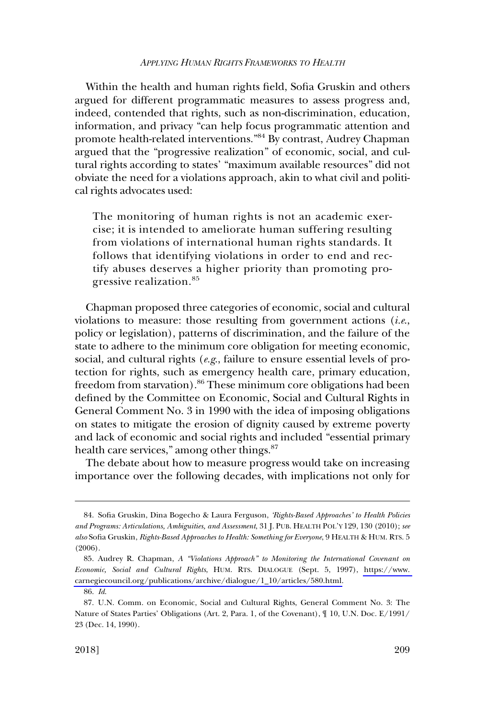Within the health and human rights field, Sofia Gruskin and others argued for different programmatic measures to assess progress and, indeed, contended that rights, such as non-discrimination, education, information, and privacy "can help focus programmatic attention and promote health-related interventions."84 By contrast, Audrey Chapman argued that the "progressive realization" of economic, social, and cultural rights according to states' "maximum available resources" did not obviate the need for a violations approach, akin to what civil and political rights advocates used:

The monitoring of human rights is not an academic exercise; it is intended to ameliorate human suffering resulting from violations of international human rights standards. It follows that identifying violations in order to end and rectify abuses deserves a higher priority than promoting progressive realization.<sup>85</sup>

Chapman proposed three categories of economic, social and cultural violations to measure: those resulting from government actions (*i.e*., policy or legislation), patterns of discrimination, and the failure of the state to adhere to the minimum core obligation for meeting economic, social, and cultural rights (*e.g*., failure to ensure essential levels of protection for rights, such as emergency health care, primary education, freedom from starvation).<sup>86</sup> These minimum core obligations had been defined by the Committee on Economic, Social and Cultural Rights in General Comment No. 3 in 1990 with the idea of imposing obligations on states to mitigate the erosion of dignity caused by extreme poverty and lack of economic and social rights and included "essential primary health care services," among other things.<sup>87</sup>

The debate about how to measure progress would take on increasing importance over the following decades, with implications not only for

<sup>84.</sup> Sofia Gruskin, Dina Bogecho & Laura Ferguson, *'Rights-Based Approaches' to Health Policies and Programs: Articulations, Ambiguities, and Assessment*, 31 J. PUB. HEALTH POL'Y 129, 130 (2010); *see also* Sofia Gruskin, *Rights-Based Approaches to Health: Something for Everyone*, 9 HEALTH & HUM. RTS. 5 (2006).

<sup>85.</sup> Audrey R. Chapman, *A "Violations Approach" to Monitoring the International Covenant on Economic, Social and Cultural Rights*, HUM. RTS. DIALOGUE (Sept. 5, 1997), [https://www.](https://www.carnegiecouncil.org/publications/archive/dialogue/1_10/articles/580.html)  [carnegiecouncil.org/publications/archive/dialogue/1\\_10/articles/580.html.](https://www.carnegiecouncil.org/publications/archive/dialogue/1_10/articles/580.html)

<sup>86.</sup> *Id*.

<sup>87.</sup> U.N. Comm. on Economic, Social and Cultural Rights, General Comment No. 3: The Nature of States Parties' Obligations (Art. 2, Para. 1, of the Covenant), ¶ 10, U.N. Doc. E/1991/ 23 (Dec. 14, 1990).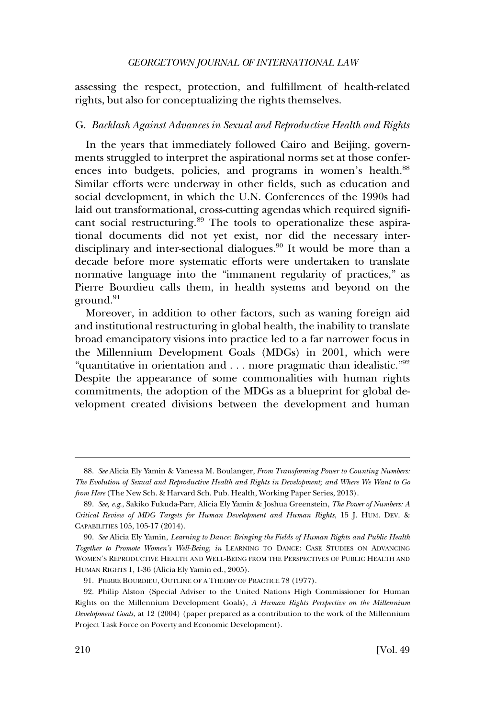<span id="page-19-0"></span>assessing the respect, protection, and fulfillment of health-related rights, but also for conceptualizing the rights themselves.

# G. *Backlash Against Advances in Sexual and Reproductive Health and Rights*

In the years that immediately followed Cairo and Beijing, governments struggled to interpret the aspirational norms set at those conferences into budgets, policies, and programs in women's health.<sup>88</sup> Similar efforts were underway in other fields, such as education and social development, in which the U.N. Conferences of the 1990s had laid out transformational, cross-cutting agendas which required significant social restructuring.<sup>89</sup> The tools to operationalize these aspirational documents did not yet exist, nor did the necessary interdisciplinary and inter-sectional dialogues.<sup>90</sup> It would be more than a decade before more systematic efforts were undertaken to translate normative language into the "immanent regularity of practices," as Pierre Bourdieu calls them, in health systems and beyond on the ground.<sup>91</sup>

Moreover, in addition to other factors, such as waning foreign aid and institutional restructuring in global health, the inability to translate broad emancipatory visions into practice led to a far narrower focus in the Millennium Development Goals (MDGs) in 2001, which were "quantitative in orientation and . . . more pragmatic than idealistic."92 Despite the appearance of some commonalities with human rights commitments, the adoption of the MDGs as a blueprint for global development created divisions between the development and human

<sup>88.</sup> *See* Alicia Ely Yamin & Vanessa M. Boulanger, *From Transforming Power to Counting Numbers: The Evolution of Sexual and Reproductive Health and Rights in Development; and Where We Want to Go from Here* (The New Sch. & Harvard Sch. Pub. Health, Working Paper Series, 2013).

<sup>89.</sup> *See, e.g*., Sakiko Fukuda-Parr, Alicia Ely Yamin & Joshua Greenstein, *The Power of Numbers: A Critical Review of MDG Targets for Human Development and Human Rights*, 15 J. HUM. DEV. & CAPABILITIES 105, 105-17 (2014).

<sup>90.</sup> *See* Alicia Ely Yamin, *Learning to Dance: Bringing the Fields of Human Rights and Public Health Together to Promote Women's Well-Being*, *in* LEARNING TO DANCE: CASE STUDIES ON ADVANCING WOMEN'S REPRODUCTIVE HEALTH AND WELL-BEING FROM THE PERSPECTIVES OF PUBLIC HEALTH AND HUMAN RIGHTS 1, 1-36 (Alicia Ely Yamin ed., 2005).

<sup>91.</sup> PIERRE BOURDIEU, OUTLINE OF A THEORY OF PRACTICE 78 (1977).

<sup>92.</sup> Philip Alston (Special Adviser to the United Nations High Commissioner for Human Rights on the Millennium Development Goals), *A Human Rights Perspective on the Millennium Development Goals*, at 12 (2004) (paper prepared as a contribution to the work of the Millennium Project Task Force on Poverty and Economic Development).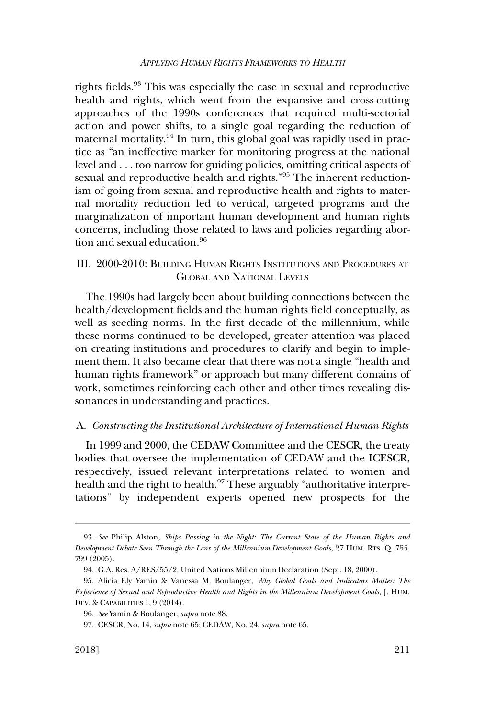<span id="page-20-0"></span>rights fields.<sup>93</sup> This was especially the case in sexual and reproductive health and rights, which went from the expansive and cross-cutting approaches of the 1990s conferences that required multi-sectorial action and power shifts, to a single goal regarding the reduction of maternal mortality.<sup>94</sup> In turn, this global goal was rapidly used in practice as "an ineffective marker for monitoring progress at the national level and . . . too narrow for guiding policies, omitting critical aspects of sexual and reproductive health and rights."<sup>95</sup> The inherent reductionism of going from sexual and reproductive health and rights to maternal mortality reduction led to vertical, targeted programs and the marginalization of important human development and human rights concerns, including those related to laws and policies regarding abortion and sexual education.<sup>96</sup>

# III. 2000-2010: BUILDING HUMAN RIGHTS INSTITUTIONS AND PROCEDURES AT GLOBAL AND NATIONAL LEVELS

The 1990s had largely been about building connections between the health/development fields and the human rights field conceptually, as well as seeding norms. In the first decade of the millennium, while these norms continued to be developed, greater attention was placed on creating institutions and procedures to clarify and begin to implement them. It also became clear that there was not a single "health and human rights framework" or approach but many different domains of work, sometimes reinforcing each other and other times revealing dissonances in understanding and practices.

### A. *Constructing the Institutional Architecture of International Human Rights*

In 1999 and 2000, the CEDAW Committee and the CESCR, the treaty bodies that oversee the implementation of CEDAW and the ICESCR, respectively, issued relevant interpretations related to women and health and the right to health.<sup>97</sup> These arguably "authoritative interpretations" by independent experts opened new prospects for the

<sup>93.</sup> *See* Philip Alston, *Ships Passing in the Night: The Current State of the Human Rights and Development Debate Seen Through the Lens of the Millennium Development Goals*, 27 HUM. RTS. Q. 755, 799 (2005).

<sup>94.</sup> G.A. Res. A/RES/55/2, United Nations Millennium Declaration (Sept. 18, 2000).

<sup>95.</sup> Alicia Ely Yamin & Vanessa M. Boulanger, *Why Global Goals and Indicators Matter: The Experience of Sexual and Reproductive Health and Rights in the Millennium Development Goals*, J. HUM. DEV. & CAPABILITIES 1, 9 (2014).

<sup>96.</sup> *See* Yamin & Boulanger, *supra* note 88.

<sup>97.</sup> CESCR, No. 14, *supra* note 65; CEDAW, No. 24, *supra* note 65.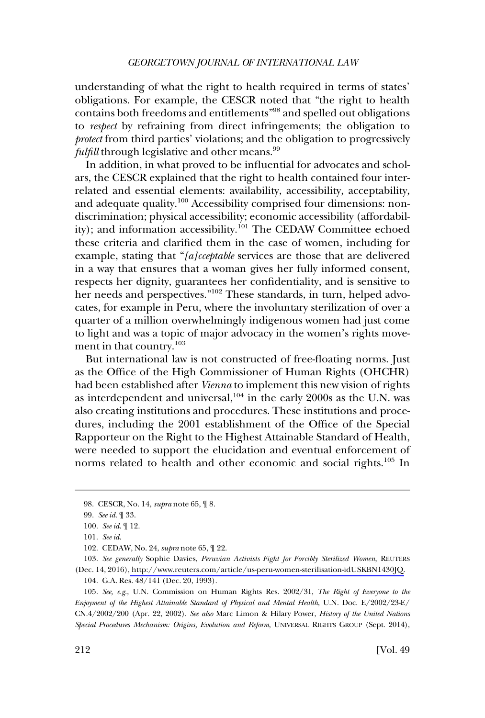understanding of what the right to health required in terms of states' obligations. For example, the CESCR noted that "the right to health contains both freedoms and entitlements"98 and spelled out obligations to *respect* by refraining from direct infringements; the obligation to *protect* from third parties' violations; and the obligation to progressively *fulfill* through legislative and other means.<sup>99</sup>

In addition, in what proved to be influential for advocates and scholars, the CESCR explained that the right to health contained four interrelated and essential elements: availability, accessibility, acceptability, and adequate quality.<sup>100</sup> Accessibility comprised four dimensions: nondiscrimination; physical accessibility; economic accessibility (affordability); and information accessibility.<sup>101</sup> The CEDAW Committee echoed these criteria and clarified them in the case of women, including for example, stating that "*[a]cceptable* services are those that are delivered in a way that ensures that a woman gives her fully informed consent, respects her dignity, guarantees her confidentiality, and is sensitive to her needs and perspectives."<sup>102</sup> These standards, in turn, helped advocates, for example in Peru, where the involuntary sterilization of over a quarter of a million overwhelmingly indigenous women had just come to light and was a topic of major advocacy in the women's rights movement in that country.103

But international law is not constructed of free-floating norms. Just as the Office of the High Commissioner of Human Rights (OHCHR) had been established after *Vienna* to implement this new vision of rights as interdependent and universal,  $104$  in the early 2000s as the U.N. was also creating institutions and procedures. These institutions and procedures, including the 2001 establishment of the Office of the Special Rapporteur on the Right to the Highest Attainable Standard of Health, were needed to support the elucidation and eventual enforcement of norms related to health and other economic and social rights.<sup>105</sup> In

105. *See, e.g*., U.N. Commission on Human Rights Res. 2002/31, *The Right of Everyone to the Enjoyment of the Highest Attainable Standard of Physical and Mental Health*, U.N. Doc. E/2002/23-E/ CN.4/2002/200 (Apr. 22, 2002). *See also* Marc Limon & Hilary Power, *History of the United Nations Special Procedures Mechanism: Origins, Evolution and Reform*, UNIVERSAL RIGHTS GROUP (Sept. 2014),

<sup>98.</sup> CESCR, No. 14*, supra* note 65, ¶ 8.

<sup>99.</sup> *See id*. ¶ 33.

<sup>100.</sup> *See id*. ¶ 12.

<sup>101.</sup> *See id*.

<sup>102.</sup> CEDAW, No. 24, *supra* note 65, ¶ 22.

*See generally* Sophie Davies, *Peruvian Activists Fight for Forcibly Sterilized Women*, REUTERS 103. (Dec. 14, 2016)[, http://www.reuters.com/article/us-peru-women-sterilisation-idUSKBN1430JQ.](http://www.reuters.com/article/us-peru-women-sterilisation-idUSKBN1430JQ) 104. G.A. Res. 48/141 (Dec. 20, 1993).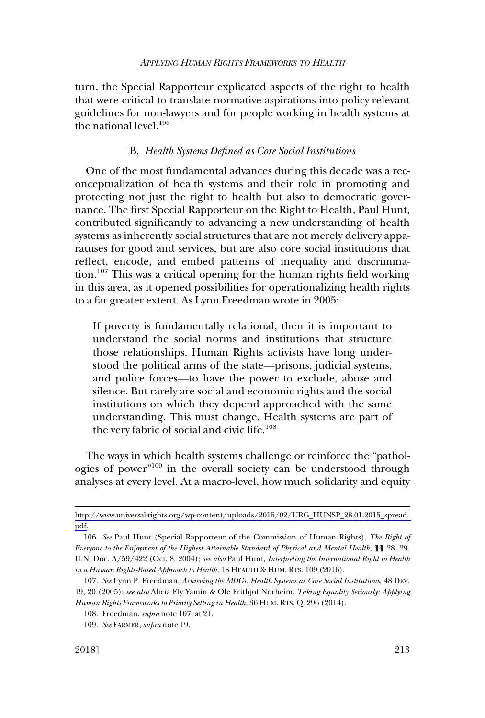<span id="page-22-0"></span>turn, the Special Rapporteur explicated aspects of the right to health that were critical to translate normative aspirations into policy-relevant guidelines for non-lawyers and for people working in health systems at the national level.<sup>106</sup>

## B. *Health Systems Defined as Core Social Institutions*

One of the most fundamental advances during this decade was a reconceptualization of health systems and their role in promoting and protecting not just the right to health but also to democratic governance. The first Special Rapporteur on the Right to Health, Paul Hunt, contributed significantly to advancing a new understanding of health systems as inherently social structures that are not merely delivery apparatuses for good and services, but are also core social institutions that reflect, encode, and embed patterns of inequality and discrimination.107 This was a critical opening for the human rights field working in this area, as it opened possibilities for operationalizing health rights to a far greater extent. As Lynn Freedman wrote in 2005:

If poverty is fundamentally relational, then it is important to understand the social norms and institutions that structure those relationships. Human Rights activists have long understood the political arms of the state—prisons, judicial systems, and police forces—to have the power to exclude, abuse and silence. But rarely are social and economic rights and the social institutions on which they depend approached with the same understanding. This must change. Health systems are part of the very fabric of social and civic life.<sup>108</sup>

The ways in which health systems challenge or reinforce the "pathologies of power"109 in the overall society can be understood through analyses at every level. At a macro-level, how much solidarity and equity

[http://www.universal-rights.org/wp-content/uploads/2015/02/URG\\_HUNSP\\_28.01.2015\\_spread.](http://www.universal-rights.org/wp-content/uploads/2015/02/URG_HUNSP_28.01.2015_spread.pdf)  [pdf.](http://www.universal-rights.org/wp-content/uploads/2015/02/URG_HUNSP_28.01.2015_spread.pdf)

<sup>106.</sup> *See* Paul Hunt (Special Rapporteur of the Commission of Human Rights), *The Right of Everyone to the Enjoyment of the Highest Attainable Standard of Physical and Mental Health*, ¶¶ 28, 29, U.N. Doc. A/59/422 (Oct. 8, 2004); *see also* Paul Hunt, *Interpreting the International Right to Health in a Human Rights-Based Approach to Health*, 18 HEALTH & HUM. RTS. 109 (2016).

<sup>107.</sup> *See* Lynn P. Freedman, *Achieving the MDGs: Health Systems as Core Social Institutions*, 48 DEV. 19, 20 (2005); *see also* Alicia Ely Yamin & Ole Frithjof Norheim, *Taking Equality Seriously: Applying Human Rights Frameworks to Priority Setting in Health*, 36 HUM. RTS. Q. 296 (2014).

<sup>108.</sup> Freedman, *supra* note 107, at 21.

<sup>109.</sup> *See* FARMER, *supra* note 19.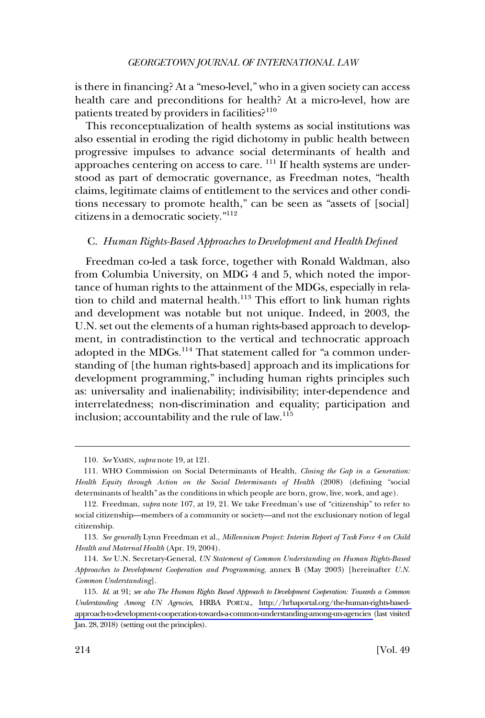<span id="page-23-0"></span>is there in financing? At a "meso-level," who in a given society can access health care and preconditions for health? At a micro-level, how are patients treated by providers in facilities?<sup>110</sup>

This reconceptualization of health systems as social institutions was also essential in eroding the rigid dichotomy in public health between progressive impulses to advance social determinants of health and approaches centering on access to care. <sup>111</sup> If health systems are understood as part of democratic governance, as Freedman notes, "health claims, legitimate claims of entitlement to the services and other conditions necessary to promote health," can be seen as "assets of [social] citizens in a democratic society."<sup>112</sup>

# C. *Human Rights-Based Approaches to Development and Health Defined*

Freedman co-led a task force, together with Ronald Waldman, also from Columbia University, on MDG 4 and 5, which noted the importance of human rights to the attainment of the MDGs, especially in relation to child and maternal health. $113$  This effort to link human rights and development was notable but not unique. Indeed, in 2003, the U.N. set out the elements of a human rights-based approach to development, in contradistinction to the vertical and technocratic approach adopted in the MDGs.<sup>114</sup> That statement called for "a common understanding of [the human rights-based] approach and its implications for development programming," including human rights principles such as: universality and inalienability; indivisibility; inter-dependence and interrelatedness; non-discrimination and equality; participation and inclusion; accountability and the rule of law.<sup>115</sup>

<sup>110.</sup> *See* YAMIN, *supra* note 19, at 121.

<sup>111.</sup> WHO Commission on Social Determinants of Health, *Closing the Gap in a Generation: Health Equity through Action on the Social Determinants of Health* (2008) (defining "social determinants of health" as the conditions in which people are born, grow, live, work, and age).

<sup>112.</sup> Freedman, *supra* note 107, at 19, 21. We take Freedman's use of "citizenship" to refer to social citizenship—members of a community or society—and not the exclusionary notion of legal citizenship.

<sup>113.</sup> *See generally* Lynn Freedman et al., *Millennium Project: Interim Report of Task Force 4 on Child Health and Maternal Health* (Apr. 19, 2004).

<sup>114.</sup> *See* U.N. Secretary-General, *UN Statement of Common Understanding on Human Rights-Based Approaches to Development Cooperation and Programming*, annex B (May 2003) [hereinafter *U.N. Common Understanding*].

<sup>115.</sup> *Id*. at 91; *see also The Human Rights Based Approach to Development Cooperation: Towards a Common Understanding Among UN Agencies*, HRBA PORTAL, [http://hrbaportal.org/the-human-rights-based](http://hrbaportal.org/the-human-rights-based-approach-to-development-cooperation-towards-a-common-understanding-among-un-agencies)[approach-to-development-cooperation-towards-a-common-understanding-among-un-agencies](http://hrbaportal.org/the-human-rights-based-approach-to-development-cooperation-towards-a-common-understanding-among-un-agencies) (last visited Jan. 28, 2018) (setting out the principles).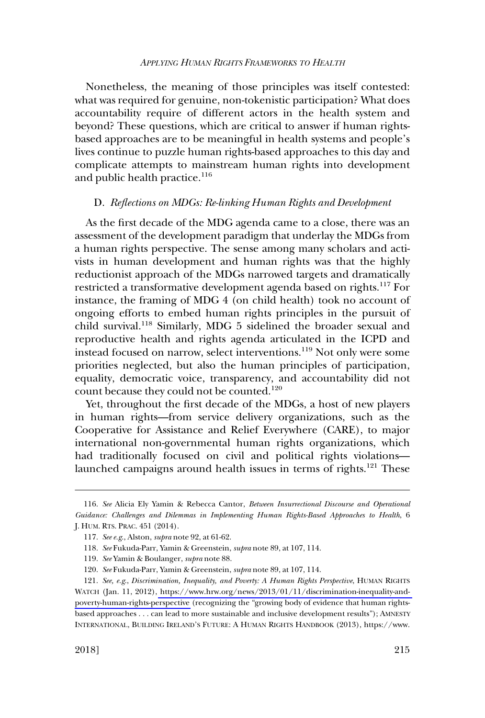<span id="page-24-0"></span>Nonetheless, the meaning of those principles was itself contested: what was required for genuine, non-tokenistic participation? What does accountability require of different actors in the health system and beyond? These questions, which are critical to answer if human rightsbased approaches are to be meaningful in health systems and people's lives continue to puzzle human rights-based approaches to this day and complicate attempts to mainstream human rights into development and public health practice.<sup>116</sup>

#### D. *Reflections on MDGs: Re-linking Human Rights and Development*

As the first decade of the MDG agenda came to a close, there was an assessment of the development paradigm that underlay the MDGs from a human rights perspective. The sense among many scholars and activists in human development and human rights was that the highly reductionist approach of the MDGs narrowed targets and dramatically restricted a transformative development agenda based on rights.117 For instance, the framing of MDG 4 (on child health) took no account of ongoing efforts to embed human rights principles in the pursuit of child survival.118 Similarly, MDG 5 sidelined the broader sexual and reproductive health and rights agenda articulated in the ICPD and instead focused on narrow, select interventions.<sup>119</sup> Not only were some priorities neglected, but also the human principles of participation, equality, democratic voice, transparency, and accountability did not count because they could not be counted.<sup>120</sup>

Yet, throughout the first decade of the MDGs, a host of new players in human rights—from service delivery organizations, such as the Cooperative for Assistance and Relief Everywhere (CARE), to major international non-governmental human rights organizations, which had traditionally focused on civil and political rights violations launched campaigns around health issues in terms of rights.<sup>121</sup> These

<sup>116.</sup> *See* Alicia Ely Yamin & Rebecca Cantor, *Between Insurrectional Discourse and Operational Guidance: Challenges and Dilemmas in Implementing Human Rights-Based Approaches to Health*, 6 J. HUM. RTS. PRAC. 451 (2014).

<sup>117.</sup> *See e.g*., Alston, *supra* note 92, at 61-62.

<sup>118.</sup> *See* Fukuda-Parr, Yamin & Greenstein, *supra* note 89, at 107, 114.

<sup>119.</sup> *See* Yamin & Boulanger, *supra* note 88.

<sup>120.</sup> *See* Fukuda-Parr, Yamin & Greenstein, *supra* note 89, at 107, 114.

*See, e.g*., *Discrimination, Inequality, and Poverty: A Human Rights Perspective*, HUMAN RIGHTS 121. WATCH (Jan. 11, 2012), [https://www.hrw.org/news/2013/01/11/discrimination-inequality-and](https://www.hrw.org/news/2013/01/11/discrimination-inequality-and-poverty-human-rights-perspective)[poverty-human-rights-perspective](https://www.hrw.org/news/2013/01/11/discrimination-inequality-and-poverty-human-rights-perspective) (recognizing the "growing body of evidence that human rightsbased approaches . . . can lead to more sustainable and inclusive development results"); AMNESTY INTERNATIONAL, BUILDING IRELAND'S FUTURE: A HUMAN RIGHTS HANDBOOK (2013), https://www.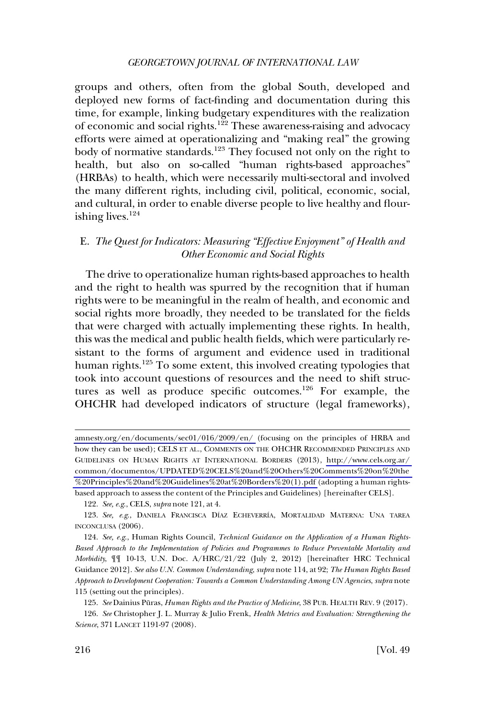<span id="page-25-0"></span>groups and others, often from the global South, developed and deployed new forms of fact-finding and documentation during this time, for example, linking budgetary expenditures with the realization of economic and social rights.122 These awareness-raising and advocacy efforts were aimed at operationalizing and "making real" the growing body of normative standards.<sup>123</sup> They focused not only on the right to health, but also on so-called "human rights-based approaches" (HRBAs) to health, which were necessarily multi-sectoral and involved the many different rights, including civil, political, economic, social, and cultural, in order to enable diverse people to live healthy and flourishing lives. $124$ 

# E. *The Quest for Indicators: Measuring "Effective Enjoyment" of Health and Other Economic and Social Rights*

The drive to operationalize human rights-based approaches to health and the right to health was spurred by the recognition that if human rights were to be meaningful in the realm of health, and economic and social rights more broadly, they needed to be translated for the fields that were charged with actually implementing these rights. In health, this was the medical and public health fields, which were particularly resistant to the forms of argument and evidence used in traditional human rights.<sup>125</sup> To some extent, this involved creating typologies that took into account questions of resources and the need to shift structures as well as produce specific outcomes.<sup>126</sup> For example, the OHCHR had developed indicators of structure (legal frameworks),

122. *See, e.g*., CELS, *supra* note 121, at 4.

[amnesty.org/en/documents/sec01/016/2009/en/](https://www.amnesty.org/en/documents/sec01/016/2009/en/) (focusing on the principles of HRBA and how they can be used); CELS ET AL., COMMENTS ON THE OHCHR RECOMMENDED PRINCIPLES AND GUIDELINES ON HUMAN RIGHTS AT INTERNATIONAL BORDERS (2013), [http://www.cels.org.ar/](http://www.cels.org.ar/common/documentos/UPDATED%20CELS%20and%20Others%20Comments%20on%20the%20Principles%20and%20Guidelines%20at%20Borders%20(1).pdf)  [common/documentos/UPDATED%20CELS%20and%20Others%20Comments%20on%20the](http://www.cels.org.ar/common/documentos/UPDATED%20CELS%20and%20Others%20Comments%20on%20the%20Principles%20and%20Guidelines%20at%20Borders%20(1).pdf)  [%20Principles%20and%20Guidelines%20at%20Borders%20\(1\).pdf](http://www.cels.org.ar/common/documentos/UPDATED%20CELS%20and%20Others%20Comments%20on%20the%20Principles%20and%20Guidelines%20at%20Borders%20(1).pdf) (adopting a human rightsbased approach to assess the content of the Principles and Guidelines) [hereinafter CELS].

<sup>123.</sup> See, e.g., DANIELA FRANCISCA DÍAZ ECHEVERRÍA, MORTALIDAD MATERNA: UNA TAREA INCONCLUSA (2006).

<sup>124.</sup> *See, e.g*., Human Rights Council, *Technical Guidance on the Application of a Human Rights-Based Approach to the Implementation of Policies and Programmes to Reduce Preventable Mortality and Morbidity*, ¶¶ 10-13, U.N. Doc. A/HRC/21/22 (July 2, 2012) [hereinafter HRC Technical Guidance 2012]. *See also U.N. Common Understanding*, *supra* note 114, at 92; *The Human Rights Based Approach to Development Cooperation: Towards a Common Understanding Among UN Agencies*, *supra* note 115 (setting out the principles).

<sup>125.</sup> See Dainius Püras, *Human Rights and the Practice of Medicine*, 38 PUB. HEALTH REV. 9 (2017).

<sup>126.</sup> *See* Christopher J. L. Murray & Julio Frenk, *Health Metrics and Evaluation: Strengthening the Science*, 371 LANCET 1191-97 (2008).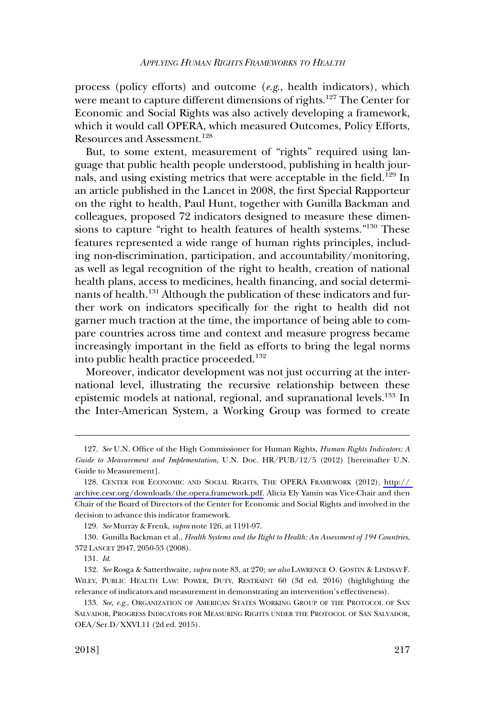process (policy efforts) and outcome (*e.g*., health indicators), which were meant to capture different dimensions of rights.<sup>127</sup> The Center for Economic and Social Rights was also actively developing a framework, which it would call OPERA, which measured Outcomes, Policy Efforts, Resources and Assessment.<sup>128</sup>

But, to some extent, measurement of "rights" required using language that public health people understood, publishing in health journals, and using existing metrics that were acceptable in the field.<sup>129</sup> In an article published in the Lancet in 2008, the first Special Rapporteur on the right to health, Paul Hunt, together with Gunilla Backman and colleagues, proposed 72 indicators designed to measure these dimensions to capture "right to health features of health systems."130 These features represented a wide range of human rights principles, including non-discrimination, participation, and accountability/monitoring, as well as legal recognition of the right to health, creation of national health plans, access to medicines, health financing, and social determinants of health.<sup>131</sup> Although the publication of these indicators and further work on indicators specifically for the right to health did not garner much traction at the time, the importance of being able to compare countries across time and context and measure progress became increasingly important in the field as efforts to bring the legal norms into public health practice proceeded.<sup>132</sup>

Moreover, indicator development was not just occurring at the international level, illustrating the recursive relationship between these epistemic models at national, regional, and supranational levels.<sup>133</sup> In the Inter-American System, a Working Group was formed to create

<sup>127.</sup> *See* U.N. Office of the High Commissioner for Human Rights, *Human Rights Indicators: A Guide to Measurement and Implementation*, U.N. Doc. HR/PUB/12/5 (2012) [hereinafter U.N. Guide to Measurement].

<sup>128.</sup> CENTER FOR ECONOMIC AND SOCIAL RIGHTS, THE OPERA FRAMEWORK (2012), http:// [archive.cesr.org/downloads/the.opera.framework.pdf.](http://archive.cesr.org/downloads/the.opera.framework.pdf) Alicia Ely Yamin was Vice-Chair and then Chair of the Board of Directors of the Center for Economic and Social Rights and involved in the decision to advance this indicator framework.

<sup>129.</sup> *See* Murray & Frenk, *supra* note 126, at 1191-97.

<sup>130.</sup> Gunilla Backman et al., *Health Systems and the Right to Health: An Assessment of 194 Countries*, 372 LANCET 2047, 2050-53 (2008).

<sup>131.</sup> *Id*.

<sup>132.</sup> *See* Rosga & Satterthwaite, *supra* note 83, at 270; *see also* LAWRENCE O. GOSTIN & LINDSAY F. WILEY, PUBLIC HEALTH LAW: POWER, DUTY, RESTRAINT 60 (3d ed. 2016) (highlighting the relevance of indicators and measurement in demonstrating an intervention's effectiveness).

<sup>133.</sup> *See, e.g*., ORGANIZATION OF AMERICAN STATES WORKING GROUP OF THE PROTOCOL OF SAN SALVADOR, PROGRESS INDICATORS FOR MEASURING RIGHTS UNDER THE PROTOCOL OF SAN SALVADOR, OEA/Ser.D/XXVI.11 (2d ed. 2015).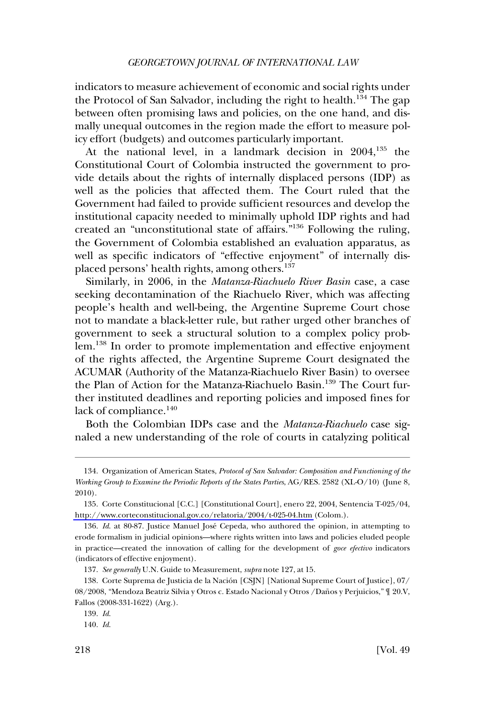indicators to measure achievement of economic and social rights under the Protocol of San Salvador, including the right to health.<sup>134</sup> The gap between often promising laws and policies, on the one hand, and dismally unequal outcomes in the region made the effort to measure policy effort (budgets) and outcomes particularly important.

At the national level, in a landmark decision in 2004,<sup>135</sup> the Constitutional Court of Colombia instructed the government to provide details about the rights of internally displaced persons (IDP) as well as the policies that affected them. The Court ruled that the Government had failed to provide sufficient resources and develop the institutional capacity needed to minimally uphold IDP rights and had created an "unconstitutional state of affairs."136 Following the ruling, the Government of Colombia established an evaluation apparatus, as well as specific indicators of "effective enjoyment" of internally displaced persons' health rights, among others.<sup>137</sup>

Similarly, in 2006, in the *Matanza-Riachuelo River Basin* case, a case seeking decontamination of the Riachuelo River, which was affecting people's health and well-being, the Argentine Supreme Court chose not to mandate a black-letter rule, but rather urged other branches of government to seek a structural solution to a complex policy problem.<sup>138</sup> In order to promote implementation and effective enjoyment of the rights affected, the Argentine Supreme Court designated the ACUMAR (Authority of the Matanza-Riachuelo River Basin) to oversee the Plan of Action for the Matanza-Riachuelo Basin.<sup>139</sup> The Court further instituted deadlines and reporting policies and imposed fines for lack of compliance.<sup>140</sup>

Both the Colombian IDPs case and the *Matanza-Riachuelo* case signaled a new understanding of the role of courts in catalyzing political

<sup>134.</sup> Organization of American States, *Protocol of San Salvador: Composition and Functioning of the Working Group to Examine the Periodic Reports of the States Parties*, AG/RES. 2582 (XL-O/10) (June 8, 2010).

<sup>135.</sup> Corte Constitucional [C.C.] [Constitutional Court], enero 22, 2004, Sentencia T-025/04, <http://www.corteconstitucional.gov.co/relatoria/2004/t-025-04.htm>(Colom.).

<sup>136.</sup> *Id*. at 80-87. Justice Manuel Jose´ Cepeda, who authored the opinion, in attempting to erode formalism in judicial opinions—where rights written into laws and policies eluded people in practice—created the innovation of calling for the development of *goce efectivo* indicators (indicators of effective enjoyment).

<sup>137.</sup> *See generally* U.N. Guide to Measurement, *supra* note 127, at 15.

<sup>138.</sup> Corte Suprema de Justicia de la Nación [CSJN] [National Supreme Court of Justice], 07/ 08/2008, "Mendoza Beatriz Silvia y Otros c. Estado Nacional y Otros / Daños y Perjuicios,"  $\mathbb {T}$  20.V, Fallos (2008-331-1622) (Arg.).

<sup>139.</sup> *Id*.

<sup>140.</sup> *Id*.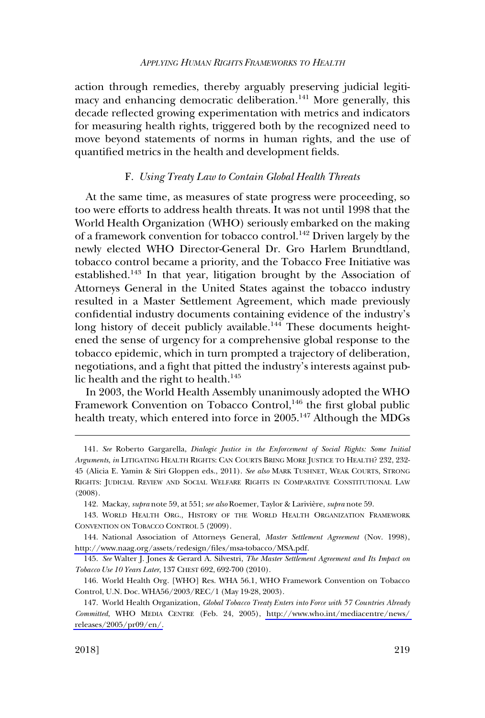<span id="page-28-0"></span>action through remedies, thereby arguably preserving judicial legitimacy and enhancing democratic deliberation.<sup>141</sup> More generally, this decade reflected growing experimentation with metrics and indicators for measuring health rights, triggered both by the recognized need to move beyond statements of norms in human rights, and the use of quantified metrics in the health and development fields.

## F. *Using Treaty Law to Contain Global Health Threats*

At the same time, as measures of state progress were proceeding, so too were efforts to address health threats. It was not until 1998 that the World Health Organization (WHO) seriously embarked on the making of a framework convention for tobacco control.142 Driven largely by the newly elected WHO Director-General Dr. Gro Harlem Brundtland, tobacco control became a priority, and the Tobacco Free Initiative was established.143 In that year, litigation brought by the Association of Attorneys General in the United States against the tobacco industry resulted in a Master Settlement Agreement, which made previously confidential industry documents containing evidence of the industry's long history of deceit publicly available.<sup>144</sup> These documents heightened the sense of urgency for a comprehensive global response to the tobacco epidemic, which in turn prompted a trajectory of deliberation, negotiations, and a fight that pitted the industry's interests against public health and the right to health.<sup>145</sup>

In 2003, the World Health Assembly unanimously adopted the WHO Framework Convention on Tobacco Control,<sup>146</sup> the first global public health treaty, which entered into force in  $2005$ .<sup>147</sup> Although the MDGs

<sup>141.</sup> *See* Roberto Gargarella, *Dialogic Justice in the Enforcement of Social Rights: Some Initial Arguments*, *in* LITIGATING HEALTH RIGHTS: CAN COURTS BRING MORE JUSTICE TO HEALTH? 232, 232- 45 (Alicia E. Yamin & Siri Gloppen eds., 2011). *See also* MARK TUSHNET, WEAK COURTS, STRONG RIGHTS: JUDICIAL REVIEW AND SOCIAL WELFARE RIGHTS IN COMPARATIVE CONSTITUTIONAL LAW (2008).

<sup>142.</sup> Mackay, *supra* note 59, at 551; *see also* Roemer, Taylor & Larivière, *supra* note 59.

<sup>143.</sup> WORLD HEALTH ORG., HISTORY OF THE WORLD HEALTH ORGANIZATION FRAMEWORK CONVENTION ON TOBACCO CONTROL 5 (2009).

<sup>144.</sup> National Association of Attorneys General, *Master Settlement Agreement* (Nov. 1998), <http://www.naag.org/assets/redesign/files/msa-tobacco/MSA.pdf>.

<sup>145.</sup> *See* Walter J. Jones & Gerard A. Silvestri, *The Master Settlement Agreement and Its Impact on Tobacco Use 10 Years Later*, 137 CHEST 692, 692-700 (2010).

<sup>146.</sup> World Health Org. [WHO] Res. WHA 56.1, WHO Framework Convention on Tobacco Control, U.N. Doc. WHA56/2003/REC/1 (May 19-28, 2003).

World Health Organization, *Global Tobacco Treaty Enters into Force with 57 Countries Already*  147. *Committed*, WHO MEDIA CENTRE (Feb. 24, 2005), [http://www.who.int/mediacentre/news/](http://www.who.int/mediacentre/news/releases/2005/pr09/en/)  [releases/2005/pr09/en/.](http://www.who.int/mediacentre/news/releases/2005/pr09/en/)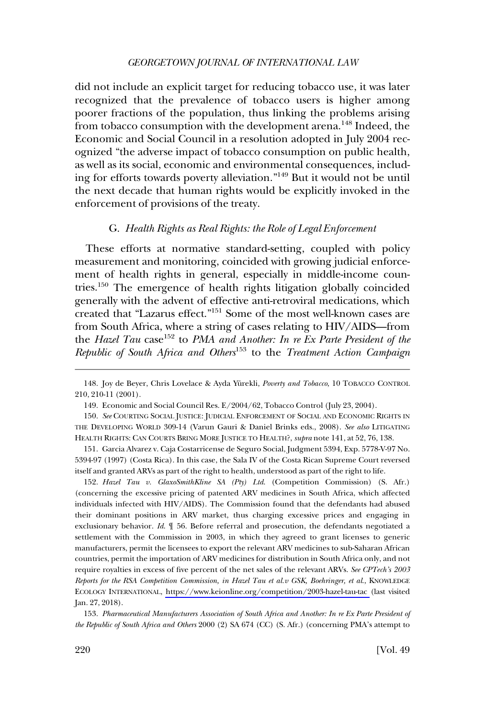<span id="page-29-0"></span>did not include an explicit target for reducing tobacco use, it was later recognized that the prevalence of tobacco users is higher among poorer fractions of the population, thus linking the problems arising from tobacco consumption with the development arena.<sup>148</sup> Indeed, the Economic and Social Council in a resolution adopted in July 2004 recognized "the adverse impact of tobacco consumption on public health, as well as its social, economic and environmental consequences, including for efforts towards poverty alleviation."149 But it would not be until the next decade that human rights would be explicitly invoked in the enforcement of provisions of the treaty.

# G. *Health Rights as Real Rights: the Role of Legal Enforcement*

These efforts at normative standard-setting, coupled with policy measurement and monitoring, coincided with growing judicial enforcement of health rights in general, especially in middle-income countries.150 The emergence of health rights litigation globally coincided generally with the advent of effective anti-retroviral medications, which created that "Lazarus effect."151 Some of the most well-known cases are from South Africa, where a string of cases relating to HIV/AIDS—from the *Hazel Tau* case<sup>152</sup> to *PMA and Another: In re Ex Parte President of the Republic of South Africa and Others*153 to the *Treatment Action Campaign* 

*Hazel Tau v. GlaxoSmithKline SA (Pty) Ltd*. (Competition Commission) (S. Afr.) 152. (concerning the excessive pricing of patented ARV medicines in South Africa, which affected individuals infected with HIV/AIDS). The Commission found that the defendants had abused their dominant positions in ARV market, thus charging excessive prices and engaging in exclusionary behavior. *Id*. ¶ 56. Before referral and prosecution, the defendants negotiated a settlement with the Commission in 2003, in which they agreed to grant licenses to generic manufacturers, permit the licensees to export the relevant ARV medicines to sub-Saharan African countries, permit the importation of ARV medicines for distribution in South Africa only, and not require royalties in excess of five percent of the net sales of the relevant ARVs. *See CPTech's 2003 Reports for the RSA Competition Commission, in Hazel Tau et al.v GSK, Boehringer, et al*., KNOWLEDGE ECOLOGY INTERNATIONAL, <https://www.keionline.org/competition/2003-hazel-tau-tac>(last visited Jan. 27, 2018).

153. *Pharmaceutical Manufacturers Association of South Africa and Another: In re Ex Parte President of the Republic of South Africa and Others* 2000 (2) SA 674 (CC) (S. Afr.) (concerning PMA's attempt to

<sup>148.</sup> Joy de Beyer, Chris Lovelace & Ayda Yürekli, *Poverty and Tobacco*, 10 TOBACCO CONTROL 210, 210-11 (2001).

<sup>149.</sup> Economic and Social Council Res. E/2004/62, Tobacco Control (July 23, 2004).

<sup>150.</sup> *See* COURTING SOCIAL JUSTICE: JUDICIAL ENFORCEMENT OF SOCIAL AND ECONOMIC RIGHTS IN THE DEVELOPING WORLD 309-14 (Varun Gauri & Daniel Brinks eds., 2008). *See also* LITIGATING HEALTH RIGHTS: CAN COURTS BRING MORE JUSTICE TO HEALTH?, *supra* note 141, at 52, 76, 138.

<sup>151.</sup> Garcia Alvarez v. Caja Costarricense de Seguro Social, Judgment 5394, Exp. 5778-V-97 No. 5394-97 (1997) (Costa Rica). In this case, the Sala IV of the Costa Rican Supreme Court reversed itself and granted ARVs as part of the right to health, understood as part of the right to life.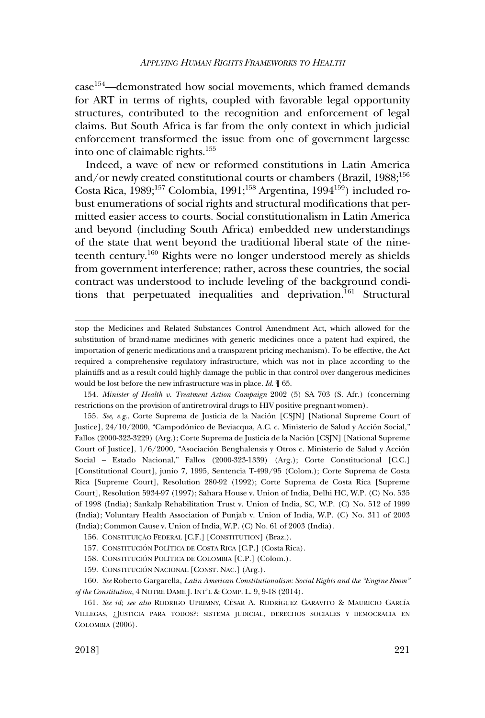case<sup>154</sup>—demonstrated how social movements, which framed demands for ART in terms of rights, coupled with favorable legal opportunity structures, contributed to the recognition and enforcement of legal claims. But South Africa is far from the only context in which judicial enforcement transformed the issue from one of government largesse into one of claimable rights.155

Indeed, a wave of new or reformed constitutions in Latin America and/or newly created constitutional courts or chambers (Brazil,  $1988$ ;<sup>156</sup>) Costa Rica, 1989;<sup>157</sup> Colombia, 1991;<sup>158</sup> Argentina, 1994<sup>159</sup>) included robust enumerations of social rights and structural modifications that permitted easier access to courts. Social constitutionalism in Latin America and beyond (including South Africa) embedded new understandings of the state that went beyond the traditional liberal state of the nineteenth century.<sup>160</sup> Rights were no longer understood merely as shields from government interference; rather, across these countries, the social contract was understood to include leveling of the background conditions that perpetuated inequalities and deprivation.<sup>161</sup> Structural

stop the Medicines and Related Substances Control Amendment Act, which allowed for the substitution of brand-name medicines with generic medicines once a patent had expired, the importation of generic medications and a transparent pricing mechanism). To be effective, the Act required a comprehensive regulatory infrastructure, which was not in place according to the plaintiffs and as a result could highly damage the public in that control over dangerous medicines would be lost before the new infrastructure was in place. *Id*. ¶ 65.

<sup>154.</sup> *Minister of Health v. Treatment Action Campaign* 2002 (5) SA 703 (S. Afr.) (concerning restrictions on the provision of antiretroviral drugs to HIV positive pregnant women).

<sup>155.</sup> See, e.g., Corte Suprema de Justicia de la Nación [CSJN] [National Supreme Court of Justice], 24/10/2000, "Campodónico de Beviacqua, A.C. c. Ministerio de Salud y Acción Social," Fallos (2000-323-3229) (Arg.); Corte Suprema de Justicia de la Nación [CSJN] [National Supreme Court of Justice], 1/6/2000, "Asociación Benghalensis y Otros c. Ministerio de Salud y Acción Social – Estado Nacional," Fallos (2000-323-1339) (Arg.); Corte Constitucional [C.C.] [Constitutional Court], junio 7, 1995, Sentencia T-499/95 (Colom.); Corte Suprema de Costa Rica [Supreme Court], Resolution 280-92 (1992); Corte Suprema de Costa Rica [Supreme Court], Resolution 5934-97 (1997); Sahara House v. Union of India, Delhi HC, W.P. (C) No. 535 of 1998 (India); Sankalp Rehabilitation Trust v. Union of India, SC, W.P. (C) No. 512 of 1999 (India); Voluntary Health Association of Punjab v. Union of India, W.P. (C) No. 311 of 2003 (India); Common Cause v. Union of India, W.P. (C) No. 61 of 2003 (India).

<sup>156.</sup> CONSTITUIÇÃO FEDERAL [C.F.] [CONSTITUTION] (Braz.).

<sup>157.</sup> CONSTITUCIÓN POLÍTICA DE COSTA RICA [C.P.] (Costa Rica).

<sup>158.</sup> CONSTITUCIÓN POLÍTICA DE COLOMBIA [C.P.] (Colom.).

<sup>159.</sup> CONSTITUCIÓN NACIONAL [CONST. NAC.] (Arg.).

<sup>160.</sup> *See* Roberto Gargarella, *Latin American Constitutionalism: Social Rights and the "Engine Room" of the Constitution*, 4 NOTRE DAME J. INT'L & COMP. L. 9, 9-18 (2014).

<sup>161.</sup> See id; see also RODRIGO UPRIMNY, CÉSAR A. RODRÍGUEZ GARAVITO & MAURICIO GARCÍA VILLEGAS, ¿JUSTICIA PARA TODOS?: SISTEMA JUDICIAL, DERECHOS SOCIALES Y DEMOCRACIA EN COLOMBIA (2006).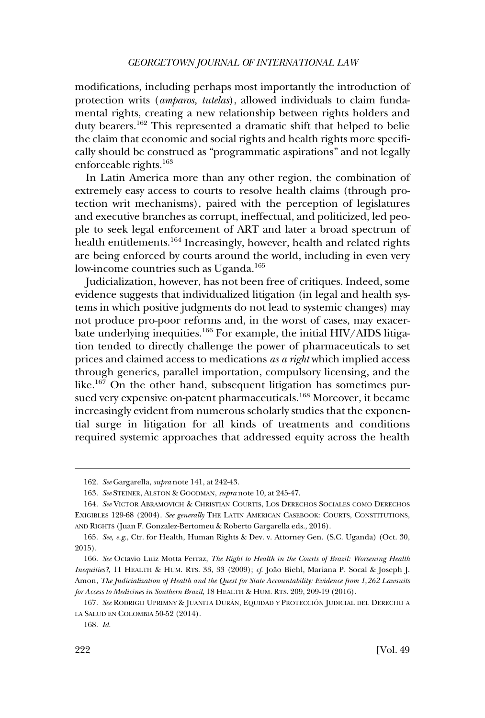modifications, including perhaps most importantly the introduction of protection writs (*amparos, tutelas*), allowed individuals to claim fundamental rights, creating a new relationship between rights holders and duty bearers.162 This represented a dramatic shift that helped to belie the claim that economic and social rights and health rights more specifically should be construed as "programmatic aspirations" and not legally enforceable rights.163

In Latin America more than any other region, the combination of extremely easy access to courts to resolve health claims (through protection writ mechanisms), paired with the perception of legislatures and executive branches as corrupt, ineffectual, and politicized, led people to seek legal enforcement of ART and later a broad spectrum of health entitlements.<sup>164</sup> Increasingly, however, health and related rights are being enforced by courts around the world, including in even very low-income countries such as Uganda.<sup>165</sup>

Judicialization, however, has not been free of critiques. Indeed, some evidence suggests that individualized litigation (in legal and health systems in which positive judgments do not lead to systemic changes) may not produce pro-poor reforms and, in the worst of cases, may exacerbate underlying inequities.<sup>166</sup> For example, the initial HIV/AIDS litigation tended to directly challenge the power of pharmaceuticals to set prices and claimed access to medications *as a right* which implied access through generics, parallel importation, compulsory licensing, and the like.<sup>167</sup> On the other hand, subsequent litigation has sometimes pursued very expensive on-patent pharmaceuticals.<sup>168</sup> Moreover, it became increasingly evident from numerous scholarly studies that the exponential surge in litigation for all kinds of treatments and conditions required systemic approaches that addressed equity across the health

<sup>162.</sup> *See* Gargarella, *supra* note 141, at 242-43.

<sup>163.</sup> *See* STEINER, ALSTON & GOODMAN, *supra* note 10, at 245-47.

<sup>164.</sup> *See* VICTOR ABRAMOVICH & CHRISTIAN COURTIS, LOS DERECHOS SOCIALES COMO DERECHOS EXIGIBLES 129-68 (2004). *See generally* THE LATIN AMERICAN CASEBOOK: COURTS, CONSTITUTIONS, AND RIGHTS (Juan F. Gonzalez-Bertomeu & Roberto Gargarella eds., 2016).

<sup>165.</sup> *See, e.g*., Ctr. for Health, Human Rights & Dev. v. Attorney Gen. (S.C. Uganda) (Oct. 30, 2015).

<sup>166.</sup> *See* Octavio Luiz Motta Ferraz, *The Right to Health in the Courts of Brazil: Worsening Health Inequities?*, 11 HEALTH & HUM. RTS. 33, 33 (2009); *cf*. Joa˜o Biehl, Mariana P. Socal & Joseph J. Amon, *The Judicialization of Health and the Quest for State Accountability: Evidence from 1,262 Lawsuits for Access to Medicines in Southern Brazil*, 18 HEALTH & HUM. RTS. 209, 209-19 (2016).

<sup>167.</sup> See RODRIGO UPRIMNY & JUANITA DURÁN, EQUIDAD Y PROTECCIÓN JUDICIAL DEL DERECHO A LA SALUD EN COLOMBIA 50-52 (2014).

<sup>168.</sup> *Id*.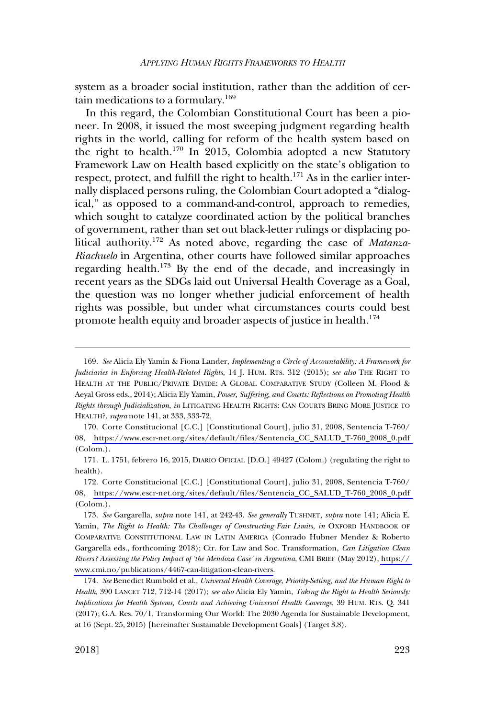system as a broader social institution, rather than the addition of certain medications to a formulary.<sup>169</sup>

In this regard, the Colombian Constitutional Court has been a pioneer. In 2008, it issued the most sweeping judgment regarding health rights in the world, calling for reform of the health system based on the right to health.<sup>170</sup> In 2015, Colombia adopted a new Statutory Framework Law on Health based explicitly on the state's obligation to respect, protect, and fulfill the right to health.<sup>171</sup> As in the earlier internally displaced persons ruling, the Colombian Court adopted a "dialogical," as opposed to a command-and-control, approach to remedies, which sought to catalyze coordinated action by the political branches of government, rather than set out black-letter rulings or displacing political authority.<sup>172</sup> As noted above, regarding the case of *Matanza-Riachuelo* in Argentina, other courts have followed similar approaches regarding health.<sup>173</sup> By the end of the decade, and increasingly in recent years as the SDGs laid out Universal Health Coverage as a Goal, the question was no longer whether judicial enforcement of health rights was possible, but under what circumstances courts could best promote health equity and broader aspects of justice in health.<sup>174</sup>

<sup>169.</sup> *See* Alicia Ely Yamin & Fiona Lander, *Implementing a Circle of Accountability: A Framework for Judiciaries in Enforcing Health-Related Rights*, 14 J. HUM. RTS. 312 (2015); *see also* THE RIGHT TO HEALTH AT THE PUBLIC/PRIVATE DIVIDE: A GLOBAL COMPARATIVE STUDY (Colleen M. Flood & Aeyal Gross eds., 2014); Alicia Ely Yamin, *Power, Suffering, and Courts: Reflections on Promoting Health Rights through Judicialization*, *in* LITIGATING HEALTH RIGHTS: CAN COURTS BRING MORE JUSTICE TO HEALTH?, *supra* note 141, at 333, 333-72.

<sup>170.</sup> Corte Constitucional [C.C.] [Constitutional Court], julio 31, 2008, Sentencia T-760/ 08, [https://www.escr-net.org/sites/default/files/Sentencia\\_CC\\_SALUD\\_T-760\\_2008\\_0.pdf](https://www.escr-net.org/sites/default/files/Sentencia_CC_SALUD_T-760_2008_0.pdf)  (Colom.).

<sup>171.</sup> L. 1751, febrero 16, 2015, DIARIO OFICIAL [D.O.] 49427 (Colom.) (regulating the right to health).

<sup>172.</sup>  Corte Constitucional [C.C.] [Constitutional Court], julio 31, 2008, Sentencia T-760/ 08, [https://www.escr-net.org/sites/default/files/Sentencia\\_CC\\_SALUD\\_T-760\\_2008\\_0.pdf](https://www.escr-net.org/sites/default/files/Sentencia_CC_SALUD_T-760_2008_0.pdf)  (Colom.).

<sup>173.</sup>  *See* Gargarella, *supra* note 141, at 242-43. *See generally* TUSHNET, *supra* note 141; Alicia E. Yamin, *The Right to Health: The Challenges of Constructing Fair Limits, in OXFORD HANDBOOK OF* COMPARATIVE CONSTITUTIONAL LAW IN LATIN AMERICA (Conrado Hubner Mendez & Roberto Gargarella eds., forthcoming 2018); Ctr. for Law and Soc. Transformation, *Can Litigation Clean Rivers? Assessing the Policy Impact of 'the Mendoza Case' in Argentina*, CMI BRIEF (May 2012), [https://](https://www.cmi.no/publications/4467-can-litigation-clean-rivers)  [www.cmi.no/publications/4467-can-litigation-clean-rivers.](https://www.cmi.no/publications/4467-can-litigation-clean-rivers)

<sup>174.</sup> *See* Benedict Rumbold et al., *Universal Health Coverage, Priority-Setting, and the Human Right to Health*, 390 LANCET 712, 712-14 (2017); *see also* Alicia Ely Yamin, *Taking the Right to Health Seriously: Implications for Health Systems, Courts and Achieving Universal Health Coverage*, 39 HUM. RTS. Q. 341 (2017); G.A. Res. 70/1, Transforming Our World: The 2030 Agenda for Sustainable Development, at 16 (Sept. 25, 2015) [hereinafter Sustainable Development Goals] (Target 3.8).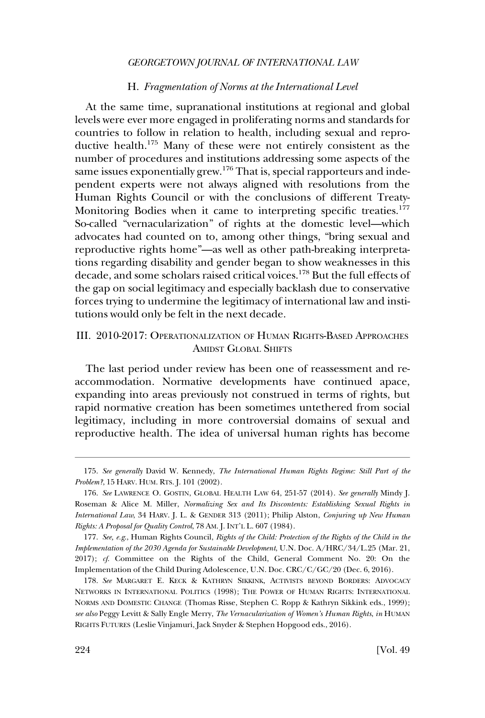# H. *Fragmentation of Norms at the International Level*

<span id="page-33-0"></span>At the same time, supranational institutions at regional and global levels were ever more engaged in proliferating norms and standards for countries to follow in relation to health, including sexual and reproductive health.175 Many of these were not entirely consistent as the number of procedures and institutions addressing some aspects of the same issues exponentially grew.<sup>176</sup> That is, special rapporteurs and independent experts were not always aligned with resolutions from the Human Rights Council or with the conclusions of different Treaty-Monitoring Bodies when it came to interpreting specific treaties.<sup>177</sup> So-called "vernacularization" of rights at the domestic level—which advocates had counted on to, among other things, "bring sexual and reproductive rights home"—as well as other path-breaking interpretations regarding disability and gender began to show weaknesses in this decade, and some scholars raised critical voices.<sup>178</sup> But the full effects of the gap on social legitimacy and especially backlash due to conservative forces trying to undermine the legitimacy of international law and institutions would only be felt in the next decade.

# III. 2010-2017: OPERATIONALIZATION OF HUMAN RIGHTS-BASED APPROACHES AMIDST GLOBAL SHIFTS

The last period under review has been one of reassessment and reaccommodation. Normative developments have continued apace, expanding into areas previously not construed in terms of rights, but rapid normative creation has been sometimes untethered from social legitimacy, including in more controversial domains of sexual and reproductive health. The idea of universal human rights has become

<sup>175.</sup> *See generally* David W. Kennedy, *The International Human Rights Regime: Still Part of the Problem?*, 15 HARV. HUM. RTS. J. 101 (2002).

<sup>176.</sup> *See* LAWRENCE O. GOSTIN, GLOBAL HEALTH LAW 64, 251-57 (2014). *See generally* Mindy J. Roseman & Alice M. Miller, *Normalizing Sex and Its Discontents: Establishing Sexual Rights in International Law*, 34 HARV. J. L. & GENDER 313 (2011); Philip Alston, *Conjuring up New Human Rights: A Proposal for Quality Control*, 78 AM. J. INT'L L. 607 (1984).

<sup>177.</sup> *See, e.g*., Human Rights Council, *Rights of the Child: Protection of the Rights of the Child in the Implementation of the 2030 Agenda for Sustainable Development*, U.N. Doc. A/HRC/34/L.25 (Mar. 21, 2017); *cf*. Committee on the Rights of the Child, General Comment No. 20: On the Implementation of the Child During Adolescence, U.N. Doc. CRC/C/GC/20 (Dec. 6, 2016).

<sup>178.</sup> *See* MARGARET E. KECK & KATHRYN SIKKINK, ACTIVISTS BEYOND BORDERS: ADVOCACY NETWORKS IN INTERNATIONAL POLITICS (1998); THE POWER OF HUMAN RIGHTS: INTERNATIONAL NORMS AND DOMESTIC CHANGE (Thomas Risse, Stephen C. Ropp & Kathryn Sikkink eds., 1999); *see also* Peggy Levitt & Sally Engle Merry, *The Vernacularization of Women's Human Rights*, *in* HUMAN RIGHTS FUTURES (Leslie Vinjamuri, Jack Snyder & Stephen Hopgood eds., 2016).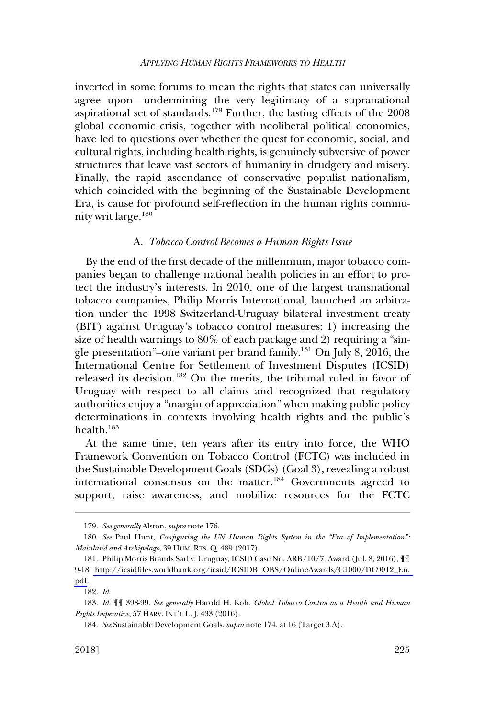<span id="page-34-0"></span>inverted in some forums to mean the rights that states can universally agree upon—undermining the very legitimacy of a supranational aspirational set of standards.<sup>179</sup> Further, the lasting effects of the  $2008$ global economic crisis, together with neoliberal political economies, have led to questions over whether the quest for economic, social, and cultural rights, including health rights, is genuinely subversive of power structures that leave vast sectors of humanity in drudgery and misery. Finally, the rapid ascendance of conservative populist nationalism, which coincided with the beginning of the Sustainable Development Era, is cause for profound self-reflection in the human rights community writ large.<sup>180</sup>

#### A. *Tobacco Control Becomes a Human Rights Issue*

By the end of the first decade of the millennium, major tobacco companies began to challenge national health policies in an effort to protect the industry's interests. In 2010, one of the largest transnational tobacco companies, Philip Morris International, launched an arbitration under the 1998 Switzerland-Uruguay bilateral investment treaty (BIT) against Uruguay's tobacco control measures: 1) increasing the size of health warnings to 80% of each package and 2) requiring a "single presentation"–one variant per brand family.181 On July 8, 2016, the International Centre for Settlement of Investment Disputes (ICSID) released its decision.<sup>182</sup> On the merits, the tribunal ruled in favor of Uruguay with respect to all claims and recognized that regulatory authorities enjoy a "margin of appreciation" when making public policy determinations in contexts involving health rights and the public's health.183

At the same time, ten years after its entry into force, the WHO Framework Convention on Tobacco Control (FCTC) was included in the Sustainable Development Goals (SDGs) (Goal 3), revealing a robust international consensus on the matter.<sup>184</sup> Governments agreed to support, raise awareness, and mobilize resources for the FCTC

<sup>179.</sup> *See generally* Alston, *supra* note 176.

Mainland and Archipelago, 39 HUM. RTS. Q. 489 (2017). 180. *See* Paul Hunt, *Configuring the UN Human Rights System in the "Era of Implementation":* 

<sup>181.</sup> Philip Morris Brands Sarl v. Uruguay, ICSID Case No. ARB/10/7, Award (Jul. 8, 2016),  $\P\P$ 9-18, [http://icsidfiles.worldbank.org/icsid/ICSIDBLOBS/OnlineAwards/C1000/DC9012\\_En.](http://icsidfiles.worldbank.org/icsid/ICSIDBLOBS/OnlineAwards/C1000/DC9012_En.pdf)  [pdf](http://icsidfiles.worldbank.org/icsid/ICSIDBLOBS/OnlineAwards/C1000/DC9012_En.pdf).

<sup>182.</sup> *Id*.

<sup>183.</sup> *Id*. ¶¶ 398-99. *See generally* Harold H. Koh, *Global Tobacco Control as a Health and Human Rights Imperative*, 57 HARV. INT'L L. J. 433 (2016).

<sup>184.</sup> *See* Sustainable Development Goals, *supra* note 174, at 16 (Target 3.A).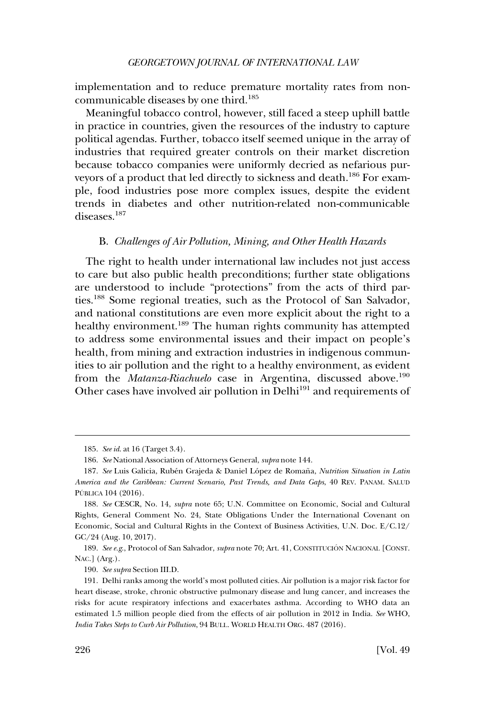<span id="page-35-0"></span>implementation and to reduce premature mortality rates from noncommunicable diseases by one third.<sup>185</sup>

Meaningful tobacco control, however, still faced a steep uphill battle in practice in countries, given the resources of the industry to capture political agendas. Further, tobacco itself seemed unique in the array of industries that required greater controls on their market discretion because tobacco companies were uniformly decried as nefarious purveyors of a product that led directly to sickness and death.<sup>186</sup> For example, food industries pose more complex issues, despite the evident trends in diabetes and other nutrition-related non-communicable diseases<sup>187</sup>

## B. *Challenges of Air Pollution, Mining, and Other Health Hazards*

The right to health under international law includes not just access to care but also public health preconditions; further state obligations are understood to include "protections" from the acts of third parties.188 Some regional treaties, such as the Protocol of San Salvador, and national constitutions are even more explicit about the right to a healthy environment.<sup>189</sup> The human rights community has attempted to address some environmental issues and their impact on people's health, from mining and extraction industries in indigenous communities to air pollution and the right to a healthy environment, as evident from the *Matanza-Riachuelo* case in Argentina, discussed above.<sup>190</sup> Other cases have involved air pollution in Delhi<sup>191</sup> and requirements of

189. *See e.g*., Protocol of San Salvador, *supra* note 70; Art. 41, CONSTITUCIO´ N NACIONAL [CONST. NAC.] (Arg.).

190. *See supra* Section III.D.

<sup>185.</sup> *See id*. at 16 (Target 3.4).

<sup>186.</sup> *See* National Association of Attorneys General, *supra* note 144.

<sup>187.</sup> See Luis Galicia, Rubén Grajeda & Daniel López de Romaña, Nutrition Situation in Latin *America and the Caribbean: Current Scenario, Past Trends, and Data Gaps*, 40 REV. PANAM. SALUD PÚBLICA 104 (2016).

<sup>188.</sup> *See* CESCR, No. 14, *supra* note 65; U.N. Committee on Economic, Social and Cultural Rights, General Comment No. 24, State Obligations Under the International Covenant on Economic, Social and Cultural Rights in the Context of Business Activities, U.N. Doc. E/C.12/ GC/24 (Aug. 10, 2017).

<sup>191.</sup> Delhi ranks among the world's most polluted cities. Air pollution is a major risk factor for heart disease, stroke, chronic obstructive pulmonary disease and lung cancer, and increases the risks for acute respiratory infections and exacerbates asthma. According to WHO data an estimated 1.5 million people died from the effects of air pollution in 2012 in India. *See* WHO, *India Takes Steps to Curb Air Pollution*, 94 BULL. WORLD HEALTH ORG. 487 (2016).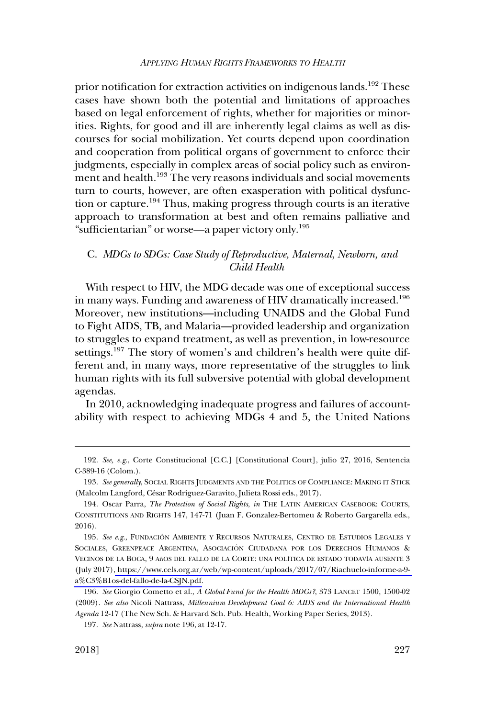<span id="page-36-0"></span>prior notification for extraction activities on indigenous lands.<sup>192</sup> These cases have shown both the potential and limitations of approaches based on legal enforcement of rights, whether for majorities or minorities. Rights, for good and ill are inherently legal claims as well as discourses for social mobilization. Yet courts depend upon coordination and cooperation from political organs of government to enforce their judgments, especially in complex areas of social policy such as environment and health.<sup>193</sup> The very reasons individuals and social movements turn to courts, however, are often exasperation with political dysfunction or capture.<sup>194</sup> Thus, making progress through courts is an iterative approach to transformation at best and often remains palliative and "sufficientarian" or worse—a paper victory only.195

# C. *MDGs to SDGs: Case Study of Reproductive, Maternal, Newborn, and Child Health*

With respect to HIV, the MDG decade was one of exceptional success in many ways. Funding and awareness of HIV dramatically increased.<sup>196</sup> Moreover, new institutions—including UNAIDS and the Global Fund to Fight AIDS, TB, and Malaria—provided leadership and organization to struggles to expand treatment, as well as prevention, in low-resource settings.<sup>197</sup> The story of women's and children's health were quite different and, in many ways, more representative of the struggles to link human rights with its full subversive potential with global development agendas.

In 2010, acknowledging inadequate progress and failures of accountability with respect to achieving MDGs 4 and 5, the United Nations

<sup>192.</sup> *See, e.g*., Corte Constitucional [C.C.] [Constitutional Court], julio 27, 2016, Sentencia C-389-16 (Colom.).

<sup>193.</sup> *See generally*, SOCIAL RIGHTS JUDGMENTS AND THE POLITICS OF COMPLIANCE: MAKING IT STICK (Malcolm Langford, César Rodríguez-Garavito, Julieta Rossi eds., 2017).

<sup>194.</sup> Oscar Parra, *The Protection of Social Rights*, *in* THE LATIN AMERICAN CASEBOOK: COURTS, CONSTITUTIONS AND RIGHTS 147, 147-71 (Juan F. Gonzalez-Bertomeu & Roberto Gargarella eds., 2016).

<sup>195.</sup> See e.g., FUNDACIÓN AMBIENTE Y RECURSOS NATURALES, CENTRO DE ESTUDIOS LEGALES Y SOCIALES, GREENPEACE ARGENTINA, ASOCIACIÓN CIUDADANA POR LOS DERECHOS HUMANOS & VECINOS DE LA BOCA, 9 AñOS DEL FALLO DE LA CORTE: UNA POLÍTICA DE ESTADO TODAVÍA AUSENTE 3 (July 2017)[, https://www.cels.org.ar/web/wp-content/uploads/2017/07/Riachuelo-informe-a-9](https://www.cels.org.ar/web/wp-content/uploads/2017/07/Riachuelo-informe-a-9-a�os-del-fallo-de-la-CSJN.pdf)  [a%C3%B1os-del-fallo-de-la-CSJN.pdf.](https://www.cels.org.ar/web/wp-content/uploads/2017/07/Riachuelo-informe-a-9-a%C3%B1os-del-fallo-de-la-CSJN.pdf)

<sup>196.</sup> *See* Giorgio Cometto et al., *A Global Fund for the Health MDGs?*, 373 LANCET 1500, 1500-02 (2009). *See also* Nicoli Nattrass, *Millennium Development Goal 6: AIDS and the International Health Agenda* 12-17 (The New Sch. & Harvard Sch. Pub. Health, Working Paper Series, 2013).

<sup>197.</sup> *See* Nattrass, *supra* note 196, at 12-17.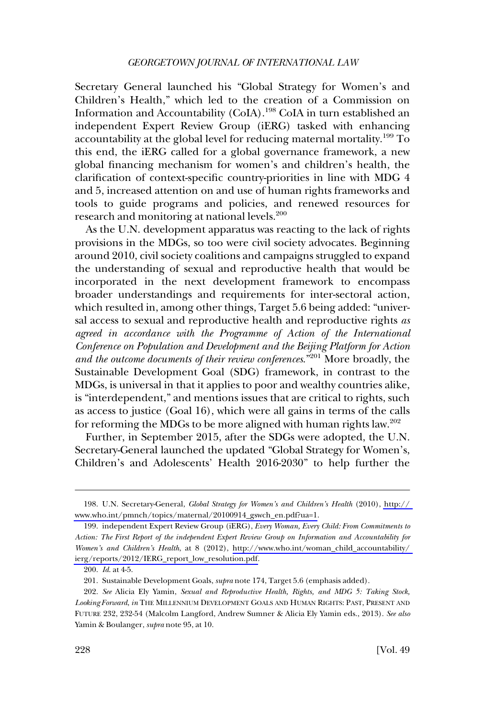Secretary General launched his "Global Strategy for Women's and Children's Health," which led to the creation of a Commission on Information and Accountability (CoIA).<sup>198</sup> CoIA in turn established an independent Expert Review Group (iERG) tasked with enhancing accountability at the global level for reducing maternal mortality.<sup>199</sup> To this end, the iERG called for a global governance framework, a new global financing mechanism for women's and children's health, the clarification of context-specific country-priorities in line with MDG 4 and 5, increased attention on and use of human rights frameworks and tools to guide programs and policies, and renewed resources for research and monitoring at national levels.<sup>200</sup>

As the U.N. development apparatus was reacting to the lack of rights provisions in the MDGs, so too were civil society advocates. Beginning around 2010, civil society coalitions and campaigns struggled to expand the understanding of sexual and reproductive health that would be incorporated in the next development framework to encompass broader understandings and requirements for inter-sectoral action, which resulted in, among other things, Target 5.6 being added: "universal access to sexual and reproductive health and reproductive rights *as agreed in accordance with the Programme of Action of the International Conference on Population and Development and the Beijing Platform for Action and the outcome documents of their review conferences*."201 More broadly, the Sustainable Development Goal (SDG) framework, in contrast to the MDGs, is universal in that it applies to poor and wealthy countries alike, is "interdependent," and mentions issues that are critical to rights, such as access to justice (Goal 16), which were all gains in terms of the calls for reforming the MDGs to be more aligned with human rights law.<sup>202</sup>

Further, in September 2015, after the SDGs were adopted, the U.N. Secretary-General launched the updated "Global Strategy for Women's, Children's and Adolescents' Health 2016-2030" to help further the

U.N. Secretary-General, *Global Strategy for Women's and Children's Health* (2010), [http://](http://www.who.int/pmnch/topics/maternal/20100914_gswch_en.pdf?ua=1)  198. [www.who.int/pmnch/topics/maternal/20100914\\_gswch\\_en.pdf?ua=1](http://www.who.int/pmnch/topics/maternal/20100914_gswch_en.pdf?ua=1).

independent Expert Review Group (iERG), *Every Woman, Every Child: From Commitments to*  199. *Action: The First Report of the independent Expert Review Group on Information and Accountability for Women's and Children's Health*, at 8 (2012), [http://www.who.int/woman\\_child\\_accountability/](http://www.who.int/woman_child_accountability/ierg/reports/2012/IERG_report_low_resolution.pdf)  [ierg/reports/2012/IERG\\_report\\_low\\_resolution.pdf.](http://www.who.int/woman_child_accountability/ierg/reports/2012/IERG_report_low_resolution.pdf)

<sup>200.</sup> *Id*. at 4-5.

<sup>201.</sup> Sustainable Development Goals, *supra* note 174, Target 5.6 (emphasis added).

<sup>202.</sup> *See* Alicia Ely Yamin, *Sexual and Reproductive Health, Rights, and MDG 5: Taking Stock, Looking Forward*, *in* THE MILLENNIUM DEVELOPMENT GOALS AND HUMAN RIGHTS: PAST, PRESENT AND FUTURE 232, 232-54 (Malcolm Langford, Andrew Sumner & Alicia Ely Yamin eds., 2013). *See also*  Yamin & Boulanger, *supra* note 95, at 10.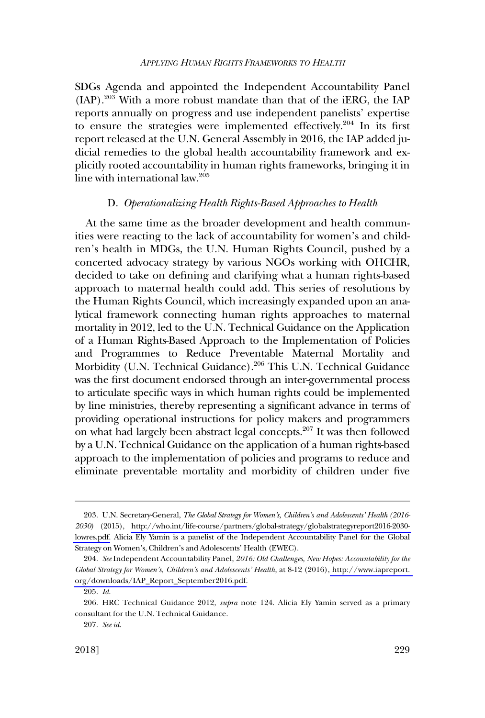<span id="page-38-0"></span>SDGs Agenda and appointed the Independent Accountability Panel (IAP).203 With a more robust mandate than that of the iERG, the IAP reports annually on progress and use independent panelists' expertise to ensure the strategies were implemented effectively.<sup>204</sup> In its first report released at the U.N. General Assembly in 2016, the IAP added judicial remedies to the global health accountability framework and explicitly rooted accountability in human rights frameworks, bringing it in line with international law.205

### D. *Operationalizing Health Rights-Based Approaches to Health*

At the same time as the broader development and health communities were reacting to the lack of accountability for women's and children's health in MDGs, the U.N. Human Rights Council, pushed by a concerted advocacy strategy by various NGOs working with OHCHR, decided to take on defining and clarifying what a human rights-based approach to maternal health could add. This series of resolutions by the Human Rights Council, which increasingly expanded upon an analytical framework connecting human rights approaches to maternal mortality in 2012, led to the U.N. Technical Guidance on the Application of a Human Rights-Based Approach to the Implementation of Policies and Programmes to Reduce Preventable Maternal Mortality and Morbidity (U.N. Technical Guidance).<sup>206</sup> This U.N. Technical Guidance was the first document endorsed through an inter-governmental process to articulate specific ways in which human rights could be implemented by line ministries, thereby representing a significant advance in terms of providing operational instructions for policy makers and programmers on what had largely been abstract legal concepts.207 It was then followed by a U.N. Technical Guidance on the application of a human rights-based approach to the implementation of policies and programs to reduce and eliminate preventable mortality and morbidity of children under five

<sup>203.</sup> U.N. Secretary-General, *The Global Strategy for Women's, Children's and Adolescents' Health (2016-2030)* (2015), [http://who.int/life-course/partners/global-strategy/globalstrategyreport2016-2030](http://who.int/life-course/partners/global-strategy/globalstrategyreport2016-2030-lowres.pdf)  [lowres.pdf.](http://who.int/life-course/partners/global-strategy/globalstrategyreport2016-2030-lowres.pdf) Alicia Ely Yamin is a panelist of the Independent Accountability Panel for the Global Strategy on Women's, Children's and Adolescents' Health (EWEC).

*See* Independent Accountability Panel, *2016: Old Challenges, New Hopes: Accountability for the*  204. *Global Strategy for Women's, Children's and Adolescents' Health*, at 8-12 (2016), [http://www.iapreport.](http://www.iapreport.org/downloads/IAP_Report_September2016.pdf)  [org/downloads/IAP\\_Report\\_September2016.pdf.](http://www.iapreport.org/downloads/IAP_Report_September2016.pdf)

<sup>205.</sup> *Id*.

<sup>206.</sup> HRC Technical Guidance 2012, *supra* note 124. Alicia Ely Yamin served as a primary consultant for the U.N. Technical Guidance.

<sup>207.</sup> *See id*.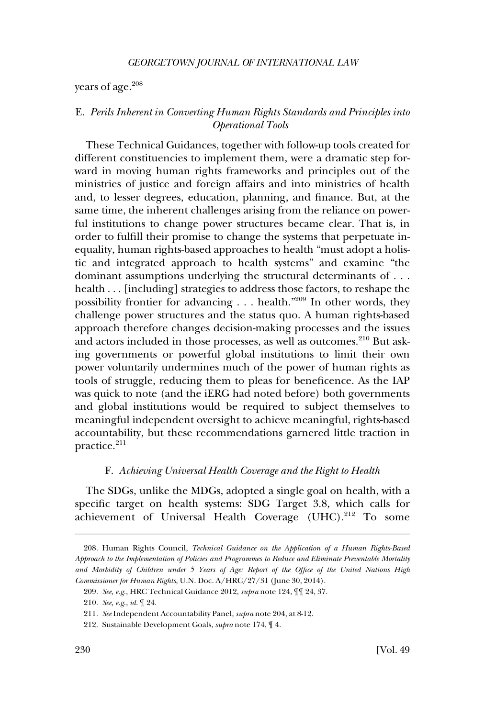<span id="page-39-0"></span>years of age.<sup>208</sup>

# E. *Perils Inherent in Converting Human Rights Standards and Principles into Operational Tools*

These Technical Guidances, together with follow-up tools created for different constituencies to implement them, were a dramatic step forward in moving human rights frameworks and principles out of the ministries of justice and foreign affairs and into ministries of health and, to lesser degrees, education, planning, and finance. But, at the same time, the inherent challenges arising from the reliance on powerful institutions to change power structures became clear. That is, in order to fulfill their promise to change the systems that perpetuate inequality, human rights-based approaches to health "must adopt a holistic and integrated approach to health systems" and examine "the dominant assumptions underlying the structural determinants of . . . health . . . [including] strategies to address those factors, to reshape the possibility frontier for advancing  $\ldots$  health."<sup>209</sup> In other words, they challenge power structures and the status quo. A human rights-based approach therefore changes decision-making processes and the issues and actors included in those processes, as well as outcomes.<sup>210</sup> But asking governments or powerful global institutions to limit their own power voluntarily undermines much of the power of human rights as tools of struggle, reducing them to pleas for beneficence. As the IAP was quick to note (and the iERG had noted before) both governments and global institutions would be required to subject themselves to meaningful independent oversight to achieve meaningful, rights-based accountability, but these recommendations garnered little traction in practice.<sup>211</sup>

### F. *Achieving Universal Health Coverage and the Right to Health*

The SDGs, unlike the MDGs, adopted a single goal on health, with a specific target on health systems: SDG Target 3.8, which calls for achievement of Universal Health Coverage (UHC).<sup>212</sup> To some

<sup>208.</sup> Human Rights Council, *Technical Guidance on the Application of a Human Rights-Based Approach to the Implementation of Policies and Programmes to Reduce and Eliminate Preventable Mortality and Morbidity of Children under 5 Years of Age: Report of the Office of the United Nations High Commissioner for Human Rights*, U.N. Doc. A/HRC/27/31 (June 30, 2014).

<sup>209.</sup> *See, e.g*., HRC Technical Guidance 2012, *supra* note 124, ¶¶ 24, 37.

<sup>210.</sup> *See, e.g*., *id*. ¶ 24.

<sup>211.</sup> *See* Independent Accountability Panel, *supra* note 204, at 8-12.

<sup>212.</sup> Sustainable Development Goals, *supra* note 174, ¶ 4.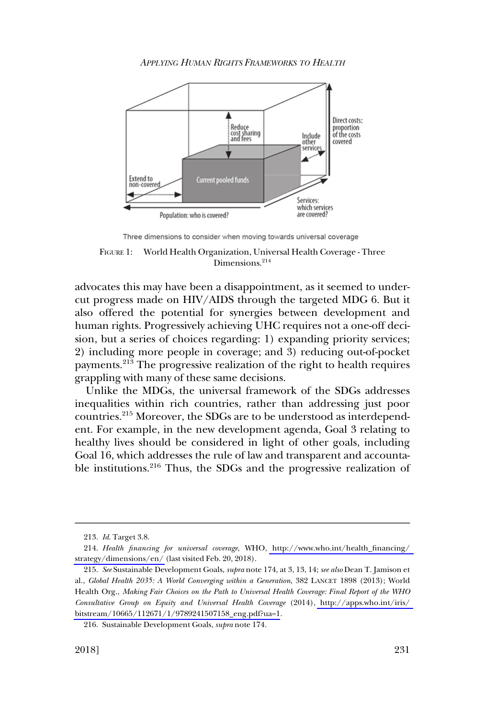

Three dimensions to consider when moving towards universal coverage

FIGURE 1: World Health Organization, Universal Health Coverage - Three Dimensions.<sup>214</sup>

advocates this may have been a disappointment, as it seemed to undercut progress made on HIV/AIDS through the targeted MDG 6. But it also offered the potential for synergies between development and human rights. Progressively achieving UHC requires not a one-off decision, but a series of choices regarding: 1) expanding priority services; 2) including more people in coverage; and 3) reducing out-of-pocket payments.213 The progressive realization of the right to health requires grappling with many of these same decisions.

Unlike the MDGs, the universal framework of the SDGs addresses inequalities within rich countries, rather than addressing just poor countries.215 Moreover, the SDGs are to be understood as interdependent. For example, in the new development agenda, Goal 3 relating to healthy lives should be considered in light of other goals, including Goal 16, which addresses the rule of law and transparent and accountable institutions.216 Thus, the SDGs and the progressive realization of

<sup>213.</sup> *Id*. Target 3.8.

<sup>214.</sup>  *Health financing for universal coverage*, WHO, [http://www.who.int/health\\_financing/](http://www.who.int/health_financing/strategy/dimensions/en/)  [strategy/dimensions/en/](http://www.who.int/health_financing/strategy/dimensions/en/) (last visited Feb. 20, 2018).

<sup>215.</sup> *See* Sustainable Development Goals, *supra* note 174, at 3, 13, 14; *see also* Dean T. Jamison et al., *Global Health 2035: A World Converging within a Generation*, 382 LANCET 1898 (2013); World Health Org., *Making Fair Choices on the Path to Universal Health Coverage: Final Report of the WHO Consultative Group on Equity and Universal Health Coverage* (2014), [http://apps.who.int/iris/](http://apps.who.int/iris/bitstream/10665/112671/1/9789241507158_eng.pdf?ua=1.)  [bitstream/10665/112671/1/9789241507158\\_eng.pdf?ua=1.](http://apps.who.int/iris/bitstream/10665/112671/1/9789241507158_eng.pdf?ua=1.)

<sup>216.</sup> Sustainable Development Goals, *supra* note 174.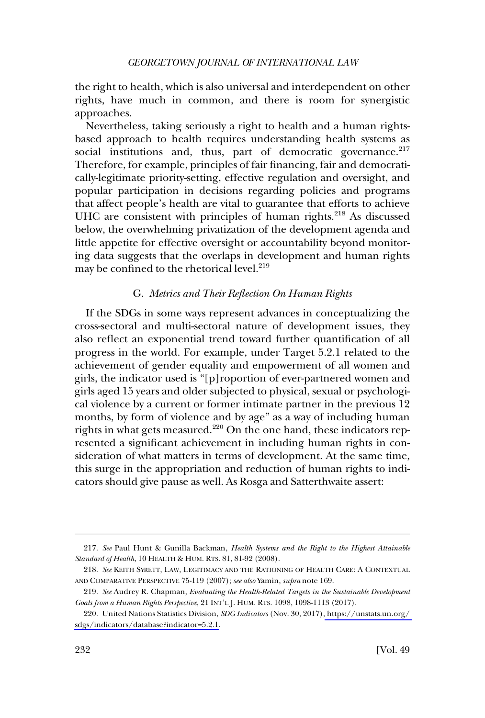<span id="page-41-0"></span>the right to health, which is also universal and interdependent on other rights, have much in common, and there is room for synergistic approaches.

Nevertheless, taking seriously a right to health and a human rightsbased approach to health requires understanding health systems as social institutions and, thus, part of democratic governance.<sup>217</sup> Therefore, for example, principles of fair financing, fair and democratically-legitimate priority-setting, effective regulation and oversight, and popular participation in decisions regarding policies and programs that affect people's health are vital to guarantee that efforts to achieve UHC are consistent with principles of human rights. $218$  As discussed below, the overwhelming privatization of the development agenda and little appetite for effective oversight or accountability beyond monitoring data suggests that the overlaps in development and human rights may be confined to the rhetorical level.<sup>219</sup>

### G. *Metrics and Their Reflection On Human Rights*

If the SDGs in some ways represent advances in conceptualizing the cross-sectoral and multi-sectoral nature of development issues, they also reflect an exponential trend toward further quantification of all progress in the world. For example, under Target 5.2.1 related to the achievement of gender equality and empowerment of all women and girls, the indicator used is "[p]roportion of ever-partnered women and girls aged 15 years and older subjected to physical, sexual or psychological violence by a current or former intimate partner in the previous 12 months, by form of violence and by age" as a way of including human rights in what gets measured. $220$  On the one hand, these indicators represented a significant achievement in including human rights in consideration of what matters in terms of development. At the same time, this surge in the appropriation and reduction of human rights to indicators should give pause as well. As Rosga and Satterthwaite assert:

<sup>217.</sup> *See* Paul Hunt & Gunilla Backman, *Health Systems and the Right to the Highest Attainable Standard of Health*, 10 HEALTH & HUM. RTS. 81, 81-92 (2008).

<sup>218.</sup> *See* KEITH SYRETT, LAW, LEGITIMACY AND THE RATIONING OF HEALTH CARE: A CONTEXTUAL AND COMPARATIVE PERSPECTIVE 75-119 (2007); *see also* Yamin, *supra* note 169.

<sup>219.</sup> *See* Audrey R. Chapman, *Evaluating the Health-Related Targets in the Sustainable Development Goals from a Human Rights Perspective*, 21 INT'L J. HUM. RTS. 1098, 1098-1113 (2017).

United Nations Statistics Division, *SDG Indicators* (Nov. 30, 2017)[, https://unstats.un.org/](https://unstats.un.org/sdgs/indicators/database?indicator=5.2.1)  220. [sdgs/indicators/database?indicator=5.2.1](https://unstats.un.org/sdgs/indicators/database?indicator=5.2.1.).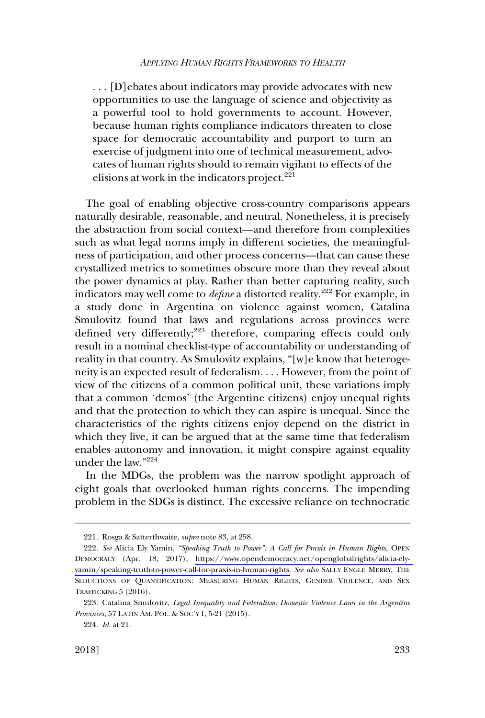. . . [D]ebates about indicators may provide advocates with new opportunities to use the language of science and objectivity as a powerful tool to hold governments to account. However, because human rights compliance indicators threaten to close space for democratic accountability and purport to turn an exercise of judgment into one of technical measurement, advocates of human rights should to remain vigilant to effects of the elisions at work in the indicators project.<sup>221</sup>

The goal of enabling objective cross-country comparisons appears naturally desirable, reasonable, and neutral. Nonetheless, it is precisely the abstraction from social context—and therefore from complexities such as what legal norms imply in different societies, the meaningfulness of participation, and other process concerns—that can cause these crystallized metrics to sometimes obscure more than they reveal about the power dynamics at play. Rather than better capturing reality, such indicators may well come to *define* a distorted reality.<sup>222</sup> For example, in a study done in Argentina on violence against women, Catalina Smulovitz found that laws and regulations across provinces were defined very differently;<sup>223</sup> therefore, comparing effects could only result in a nominal checklist-type of accountability or understanding of reality in that country. As Smulovitz explains, "[w]e know that heterogeneity is an expected result of federalism. . . . However, from the point of view of the citizens of a common political unit, these variations imply that a common 'demos' (the Argentine citizens) enjoy unequal rights and that the protection to which they can aspire is unequal. Since the characteristics of the rights citizens enjoy depend on the district in which they live, it can be argued that at the same time that federalism enables autonomy and innovation, it might conspire against equality under the law."224

In the MDGs, the problem was the narrow spotlight approach of eight goals that overlooked human rights concerns. The impending problem in the SDGs is distinct. The excessive reliance on technocratic

<sup>221.</sup> Rosga & Satterthwaite, *supra* note 83, at 258.

*See* Alicia Ely Yamin, *"Speaking Truth to Power": A Call for Praxis in Human Rights*, OPEN 222. DEMOCRACY (Apr. 18, 2017), [https://www.opendemocracy.net/openglobalrights/alicia-ely](https://www.opendemocracy.net/openglobalrights/alicia-ely-yamin/speaking-truth-to-power-call-for-praxis-in-human-rights)[yamin/speaking-truth-to-power-call-for-praxis-in-human-rights.](https://www.opendemocracy.net/openglobalrights/alicia-ely-yamin/speaking-truth-to-power-call-for-praxis-in-human-rights) *See also* SALLY ENGLE MERRY, THE SEDUCTIONS OF QUANTIFICATION: MEASURING HUMAN RIGHTS, GENDER VIOLENCE, AND SEX TRAFFICKING 5 (2016).

<sup>223.</sup> Catalina Smulovitz, *Legal Inequality and Federalism: Domestic Violence Laws in the Argentine Provinces*, 57 LATIN AM. POL. & SOC'Y 1, 5-21 (2015).

<sup>224.</sup> *Id*. at 21.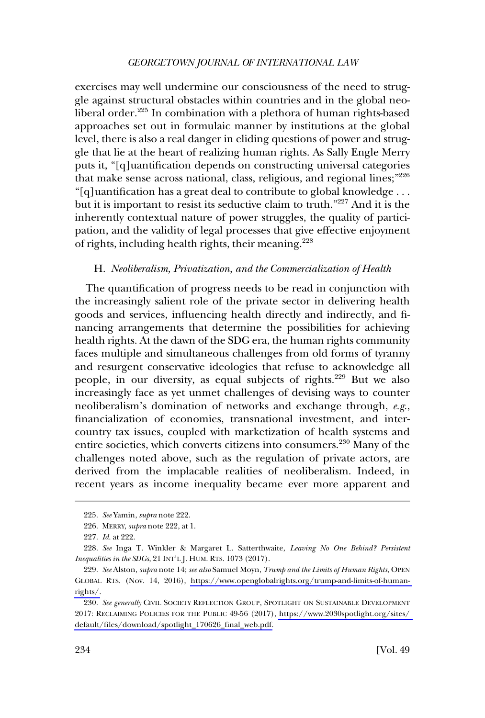<span id="page-43-0"></span>exercises may well undermine our consciousness of the need to struggle against structural obstacles within countries and in the global neoliberal order.<sup>225</sup> In combination with a plethora of human rights-based approaches set out in formulaic manner by institutions at the global level, there is also a real danger in eliding questions of power and struggle that lie at the heart of realizing human rights. As Sally Engle Merry puts it, "[q]uantification depends on constructing universal categories that make sense across national, class, religious, and regional lines;"<sup>226</sup> "[q]uantification has a great deal to contribute to global knowledge . . . but it is important to resist its seductive claim to truth."227 And it is the inherently contextual nature of power struggles, the quality of participation, and the validity of legal processes that give effective enjoyment of rights, including health rights, their meaning.<sup>228</sup>

# H. *Neoliberalism, Privatization, and the Commercialization of Health*

The quantification of progress needs to be read in conjunction with the increasingly salient role of the private sector in delivering health goods and services, influencing health directly and indirectly, and financing arrangements that determine the possibilities for achieving health rights. At the dawn of the SDG era, the human rights community faces multiple and simultaneous challenges from old forms of tyranny and resurgent conservative ideologies that refuse to acknowledge all people, in our diversity, as equal subjects of rights.<sup>229</sup> But we also increasingly face as yet unmet challenges of devising ways to counter neoliberalism's domination of networks and exchange through, *e.g*., financialization of economies, transnational investment, and intercountry tax issues, coupled with marketization of health systems and entire societies, which converts citizens into consumers.<sup>230</sup> Many of the challenges noted above, such as the regulation of private actors, are derived from the implacable realities of neoliberalism. Indeed, in recent years as income inequality became ever more apparent and

<sup>225.</sup> *See* Yamin, *supra* note 222.

<sup>226.</sup> MERRY, *supra* note 222, at 1.

<sup>227.</sup> *Id*. at 222.

<sup>228.</sup> *See* Inga T. Winkler & Margaret L. Satterthwaite, *Leaving No One Behind? Persistent Inequalities in the SDGs*, 21 INT'L J. HUM. RTS. 1073 (2017).

*See* Alston, *supra* note 14; *see also* Samuel Moyn, *Trump and the Limits of Human Rights*, OPEN 229. GLOBAL RTS. (Nov. 14, 2016), [https://www.openglobalrights.org/trump-and-limits-of-human](https://www.openglobalrights.org/trump-and-limits-of-human-rights/)[rights/.](https://www.openglobalrights.org/trump-and-limits-of-human-rights/)

<sup>230.</sup> See generally CIVIL SOCIETY REFLECTION GROUP, SPOTLIGHT ON SUSTAINABLE DEVELOPMENT 2017: RECLAIMING POLICIES FOR THE PUBLIC 49-56 (2017), [https://www.2030spotlight.org/sites/](https://www.2030spotlight.org/sites/default/files/download/spotlight_170626_final_web.pdf)  [default/files/download/spotlight\\_170626\\_final\\_web.pdf.](https://www.2030spotlight.org/sites/default/files/download/spotlight_170626_final_web.pdf)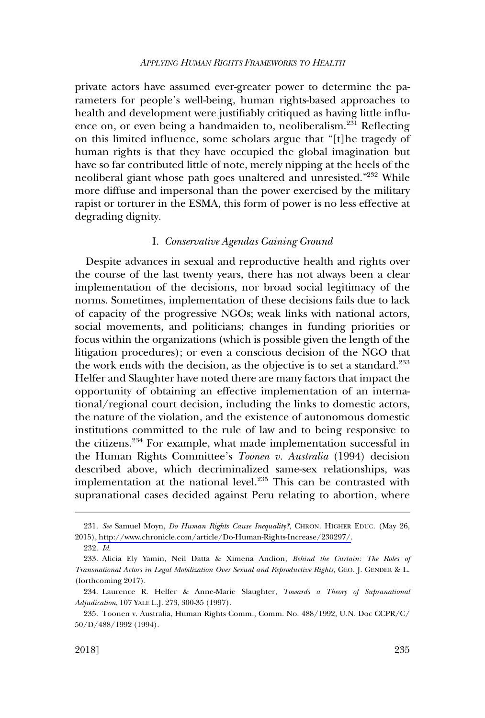<span id="page-44-0"></span>private actors have assumed ever-greater power to determine the parameters for people's well-being, human rights-based approaches to health and development were justifiably critiqued as having little influence on, or even being a handmaiden to, neoliberalism.<sup>231</sup> Reflecting on this limited influence, some scholars argue that "[t]he tragedy of human rights is that they have occupied the global imagination but have so far contributed little of note, merely nipping at the heels of the neoliberal giant whose path goes unaltered and unresisted."<sup>232</sup> While more diffuse and impersonal than the power exercised by the military rapist or torturer in the ESMA, this form of power is no less effective at degrading dignity.

#### I. *Conservative Agendas Gaining Ground*

Despite advances in sexual and reproductive health and rights over the course of the last twenty years, there has not always been a clear implementation of the decisions, nor broad social legitimacy of the norms. Sometimes, implementation of these decisions fails due to lack of capacity of the progressive NGOs; weak links with national actors, social movements, and politicians; changes in funding priorities or focus within the organizations (which is possible given the length of the litigation procedures); or even a conscious decision of the NGO that the work ends with the decision, as the objective is to set a standard.<sup>233</sup> Helfer and Slaughter have noted there are many factors that impact the opportunity of obtaining an effective implementation of an international/regional court decision, including the links to domestic actors, the nature of the violation, and the existence of autonomous domestic institutions committed to the rule of law and to being responsive to the citizens.234 For example, what made implementation successful in the Human Rights Committee's *Toonen v. Australia* (1994) decision described above, which decriminalized same-sex relationships, was implementation at the national level.<sup>235</sup> This can be contrasted with supranational cases decided against Peru relating to abortion, where

*See* Samuel Moyn, *Do Human Rights Cause Inequality?*, CHRON. HIGHER EDUC. (May 26, 231. 2015), [http://www.chronicle.com/article/Do-Human-Rights-Increase/230297/.](http://www.chronicle.com/article/Do-Human-Rights-Increase/230297/)

<sup>232.</sup> *Id*.

<sup>233.</sup> Alicia Ely Yamin, Neil Datta & Ximena Andion, *Behind the Curtain: The Roles of Transnational Actors in Legal Mobilization Over Sexual and Reproductive Rights*, GEO. J. GENDER & L. (forthcoming 2017).

<sup>234.</sup> Laurence R. Helfer & Anne-Marie Slaughter, *Towards a Theory of Supranational Adjudication*, 107 YALE L.J. 273, 300-35 (1997).

<sup>235.</sup> Toonen v. Australia, Human Rights Comm., Comm. No. 488/1992, U.N. Doc CCPR/C/ 50/D/488/1992 (1994).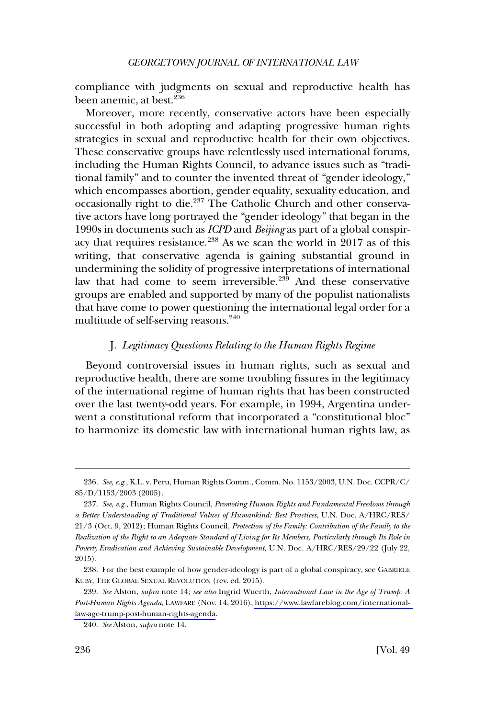<span id="page-45-0"></span>compliance with judgments on sexual and reproductive health has been anemic, at best.<sup>236</sup>

Moreover, more recently, conservative actors have been especially successful in both adopting and adapting progressive human rights strategies in sexual and reproductive health for their own objectives. These conservative groups have relentlessly used international forums, including the Human Rights Council, to advance issues such as "traditional family" and to counter the invented threat of "gender ideology," which encompasses abortion, gender equality, sexuality education, and occasionally right to die.<sup>237</sup> The Catholic Church and other conservative actors have long portrayed the "gender ideology" that began in the 1990s in documents such as *ICPD* and *Beijing* as part of a global conspiracy that requires resistance.<sup>238</sup> As we scan the world in 2017 as of this writing, that conservative agenda is gaining substantial ground in undermining the solidity of progressive interpretations of international law that had come to seem irreversible.<sup>239</sup> And these conservative groups are enabled and supported by many of the populist nationalists that have come to power questioning the international legal order for a multitude of self-serving reasons.<sup>240</sup>

# J. *Legitimacy Questions Relating to the Human Rights Regime*

Beyond controversial issues in human rights, such as sexual and reproductive health, there are some troubling fissures in the legitimacy of the international regime of human rights that has been constructed over the last twenty-odd years. For example, in 1994, Argentina underwent a constitutional reform that incorporated a "constitutional bloc" to harmonize its domestic law with international human rights law, as

<sup>236.</sup> *See, e.g*., K.L. v. Peru, Human Rights Comm., Comm. No. 1153/2003, U.N. Doc. CCPR/C/ 85/D/1153/2003 (2005).

<sup>237.</sup> *See, e.g*., Human Rights Council, *Promoting Human Rights and Fundamental Freedoms through a Better Understanding of Traditional Values of Humankind: Best Practices*, U.N. Doc. A/HRC/RES/ 21/3 (Oct. 9, 2012); Human Rights Council, *Protection of the Family: Contribution of the Family to the Realization of the Right to an Adequate Standard of Living for Its Members, Particularly through Its Role in Poverty Eradication and Achieving Sustainable Development*, U.N. Doc. A/HRC/RES/29/22 (July 22, 2015).

<sup>238.</sup> For the best example of how gender-ideology is part of a global conspiracy, see GABRIELE KUBY, THE GLOBAL SEXUAL REVOLUTION (rev. ed. 2015).

*See* Alston, *supra* note 14; *see also* Ingrid Wuerth, *International Law in the Age of Trump: A*  239. *Post-Human Rights Agenda*, LAWFARE (Nov. 14, 2016), [https://www.lawfareblog.com/international](https://www.lawfareblog.com/international-law-age-trump-post-human-rights-agenda)[law-age-trump-post-human-rights-agenda](https://www.lawfareblog.com/international-law-age-trump-post-human-rights-agenda).

<sup>240.</sup> *See* Alston, *supra* note 14.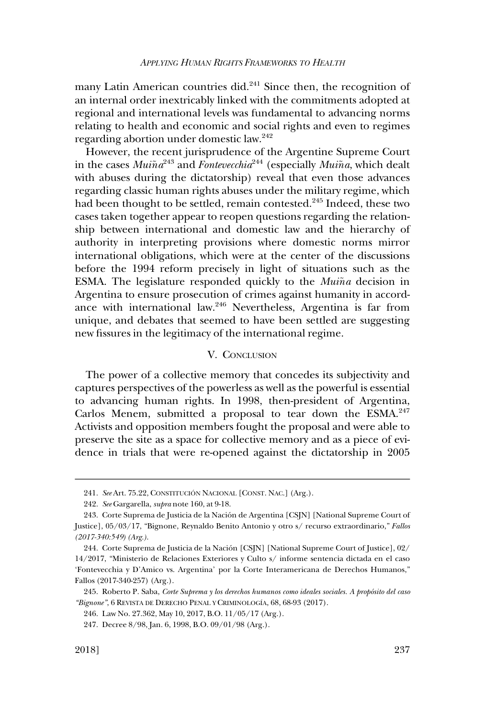<span id="page-46-0"></span>many Latin American countries did.<sup>241</sup> Since then, the recognition of an internal order inextricably linked with the commitments adopted at regional and international levels was fundamental to advancing norms relating to health and economic and social rights and even to regimes regarding abortion under domestic law.242

However, the recent jurisprudence of the Argentine Supreme Court in the cases  $Mui\tilde{n}a^{243}$  and  $Fontevecchia^{244}$  (especially  $Mui\tilde{n}a$ , which dealt with abuses during the dictatorship) reveal that even those advances regarding classic human rights abuses under the military regime, which had been thought to be settled, remain contested.<sup>245</sup> Indeed, these two cases taken together appear to reopen questions regarding the relationship between international and domestic law and the hierarchy of authority in interpreting provisions where domestic norms mirror international obligations, which were at the center of the discussions before the 1994 reform precisely in light of situations such as the ESMA. The legislature responded quickly to the *Muiña* decision in Argentina to ensure prosecution of crimes against humanity in accordance with international law.246 Nevertheless, Argentina is far from unique, and debates that seemed to have been settled are suggesting new fissures in the legitimacy of the international regime.

# V. CONCLUSION

The power of a collective memory that concedes its subjectivity and captures perspectives of the powerless as well as the powerful is essential to advancing human rights. In 1998, then-president of Argentina, Carlos Menem, submitted a proposal to tear down the ESMA.<sup>247</sup> Activists and opposition members fought the proposal and were able to preserve the site as a space for collective memory and as a piece of evidence in trials that were re-opened against the dictatorship in 2005

<sup>241.</sup> See Art. 75.22, CONSTITUCIÓN NACIONAL [CONST. NAC.] (Arg.).

<sup>242.</sup> *See* Gargarella, *supra* note 160, at 9-18.

<sup>243.</sup> Corte Suprema de Justicia de la Nación de Argentina [CSJN] [National Supreme Court of Justice], 05/03/17, "Bignone, Reynaldo Benito Antonio y otro s/ recurso extraordinario," *Fallos (2017-340:549) (Arg.)*.

<sup>244.</sup> Corte Suprema de Justicia de la Nación [CSJN] [National Supreme Court of Justice], 02/ 14/2017, "Ministerio de Relaciones Exteriores y Culto s/ informe sentencia dictada en el caso 'Fontevecchia y D'Amico vs. Argentina' por la Corte Interamericana de Derechos Humanos," Fallos (2017-340-257) (Arg.).

<sup>245.</sup> Roberto P. Saba, *Corte Suprema y los derechos humanos como ideales sociales. A propósito del caso* "Bignone", 6 REVISTA DE DERECHO PENAL Y CRIMINOLOGÍA, 68, 68-93 (2017).

<sup>246.</sup> Law No. 27.362, May 10, 2017, B.O. 11/05/17 (Arg.).

<sup>247.</sup> Decree 8/98, Jan. 6, 1998, B.O. 09/01/98 (Arg.).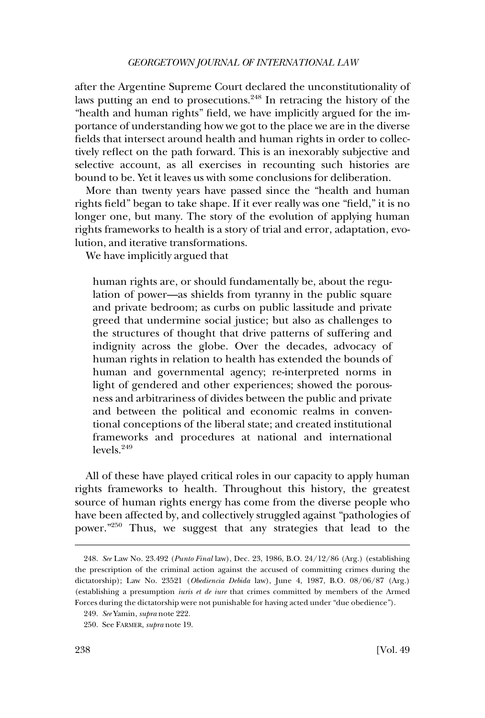after the Argentine Supreme Court declared the unconstitutionality of laws putting an end to prosecutions.<sup>248</sup> In retracing the history of the "health and human rights" field, we have implicitly argued for the importance of understanding how we got to the place we are in the diverse fields that intersect around health and human rights in order to collectively reflect on the path forward. This is an inexorably subjective and selective account, as all exercises in recounting such histories are bound to be. Yet it leaves us with some conclusions for deliberation.

More than twenty years have passed since the "health and human rights field" began to take shape. If it ever really was one "field," it is no longer one, but many. The story of the evolution of applying human rights frameworks to health is a story of trial and error, adaptation, evolution, and iterative transformations.

We have implicitly argued that

human rights are, or should fundamentally be, about the regulation of power—as shields from tyranny in the public square and private bedroom; as curbs on public lassitude and private greed that undermine social justice; but also as challenges to the structures of thought that drive patterns of suffering and indignity across the globe. Over the decades, advocacy of human rights in relation to health has extended the bounds of human and governmental agency; re-interpreted norms in light of gendered and other experiences; showed the porousness and arbitrariness of divides between the public and private and between the political and economic realms in conventional conceptions of the liberal state; and created institutional frameworks and procedures at national and international  $levels<sup>249</sup>$ 

All of these have played critical roles in our capacity to apply human rights frameworks to health. Throughout this history, the greatest source of human rights energy has come from the diverse people who have been affected by, and collectively struggled against "pathologies of power."250 Thus, we suggest that any strategies that lead to the

<sup>248.</sup> *See* Law No. 23.492 (*Punto Final* law), Dec. 23, 1986, B.O. 24/12/86 (Arg.) (establishing the prescription of the criminal action against the accused of committing crimes during the dictatorship); Law No. 23521 (*Obediencia Debida* law), June 4, 1987, B.O. 08/06/87 (Arg.) (establishing a presumption *iuris et de iure* that crimes committed by members of the Armed Forces during the dictatorship were not punishable for having acted under "due obedience").

<sup>249.</sup> *See* Yamin, *supra* note 222.

<sup>250.</sup> See FARMER, *supra* note 19.